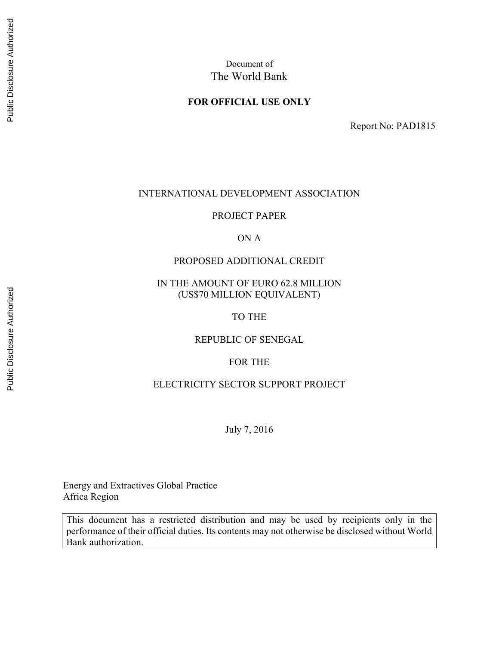### **FOR OFFICIAL USE ONLY**

Report No: PAD1815

## INTERNATIONAL DEVELOPMENT ASSOCIATION

PROJECT PAPER

ON A

### PROPOSED ADDITIONAL CREDIT

IN THE AMOUNT OF EURO 62.8 MILLION (US\$70 MILLION EQUIVALENT)

TO THE

REPUBLIC OF SENEGAL

FOR THE

#### ELECTRICITY SECTOR SUPPORT PROJECT

July 7, 2016

Energy and Extractives Global Practice Africa Region

This document has a restricted distribution and may be used by recipients only in the performance of their official duties. Its contents may not otherwise be disclosed without World Bank authorization.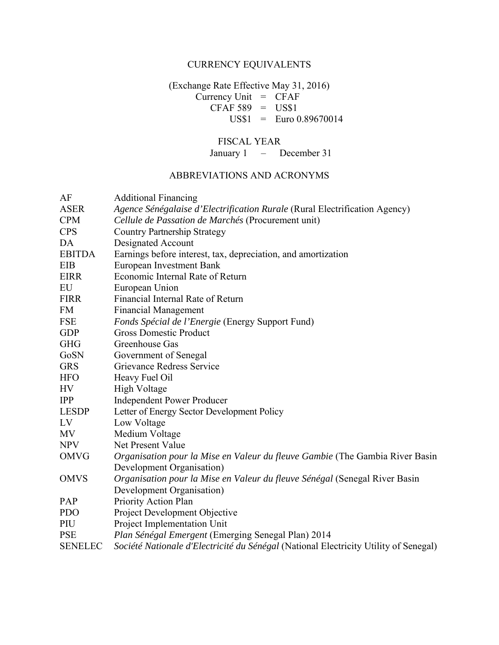# CURRENCY EQUIVALENTS

(Exchange Rate Effective May 31, 2016)  $Currency Unit = CFAF$  $CFAF 589 = US$1$ US\$1 = Euro 0.89670014

# FISCAL YEAR

January 1 – December 31

## ABBREVIATIONS AND ACRONYMS

| AF             | <b>Additional Financing</b>                                                          |
|----------------|--------------------------------------------------------------------------------------|
| <b>ASER</b>    | Agence Sénégalaise d'Electrification Rurale (Rural Electrification Agency)           |
| <b>CPM</b>     | Cellule de Passation de Marchés (Procurement unit)                                   |
| <b>CPS</b>     | <b>Country Partnership Strategy</b>                                                  |
| DA             | Designated Account                                                                   |
| <b>EBITDA</b>  | Earnings before interest, tax, depreciation, and amortization                        |
| EIB            | <b>European Investment Bank</b>                                                      |
| <b>EIRR</b>    | Economic Internal Rate of Return                                                     |
| ${\rm EU}$     | European Union                                                                       |
| <b>FIRR</b>    | Financial Internal Rate of Return                                                    |
| <b>FM</b>      | <b>Financial Management</b>                                                          |
| FSE            | Fonds Spécial de l'Energie (Energy Support Fund)                                     |
| <b>GDP</b>     | <b>Gross Domestic Product</b>                                                        |
| <b>GHG</b>     | Greenhouse Gas                                                                       |
| GoSN           | Government of Senegal                                                                |
| <b>GRS</b>     | Grievance Redress Service                                                            |
| <b>HFO</b>     | Heavy Fuel Oil                                                                       |
| HV             | <b>High Voltage</b>                                                                  |
| <b>IPP</b>     | <b>Independent Power Producer</b>                                                    |
| <b>LESDP</b>   | Letter of Energy Sector Development Policy                                           |
| LV             | Low Voltage                                                                          |
| MV             | Medium Voltage                                                                       |
| <b>NPV</b>     | Net Present Value                                                                    |
| <b>OMVG</b>    | Organisation pour la Mise en Valeur du fleuve Gambie (The Gambia River Basin         |
|                | Development Organisation)                                                            |
| <b>OMVS</b>    | Organisation pour la Mise en Valeur du fleuve Sénégal (Senegal River Basin           |
|                | Development Organisation)                                                            |
| PAP            | Priority Action Plan                                                                 |
| <b>PDO</b>     | Project Development Objective                                                        |
| PIU            | Project Implementation Unit                                                          |
| <b>PSE</b>     | Plan Sénégal Emergent (Emerging Senegal Plan) 2014                                   |
| <b>SENELEC</b> | Société Nationale d'Electricité du Sénégal (National Electricity Utility of Senegal) |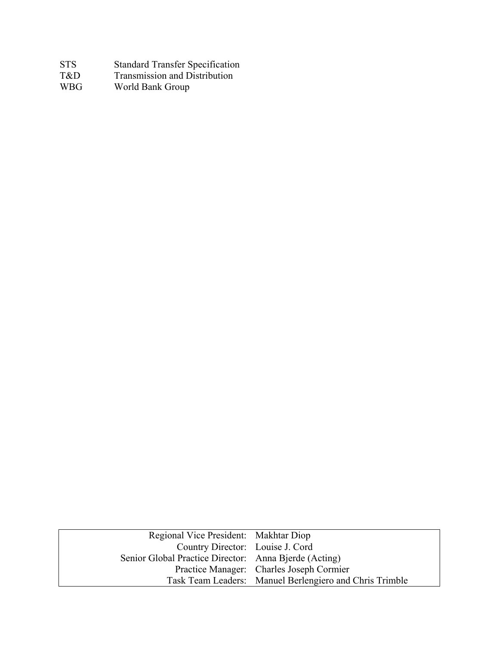| STS.       | <b>Standard Transfer Specification</b> |
|------------|----------------------------------------|
| T&D        | Transmission and Distribution          |
| <b>WBG</b> | World Bank Group                       |
|            |                                        |

| Regional Vice President: Makhtar Diop                 |                                                         |
|-------------------------------------------------------|---------------------------------------------------------|
| Country Director: Louise J. Cord                      |                                                         |
| Senior Global Practice Director: Anna Bjerde (Acting) |                                                         |
|                                                       | Practice Manager: Charles Joseph Cormier                |
|                                                       | Task Team Leaders: Manuel Berlengiero and Chris Trimble |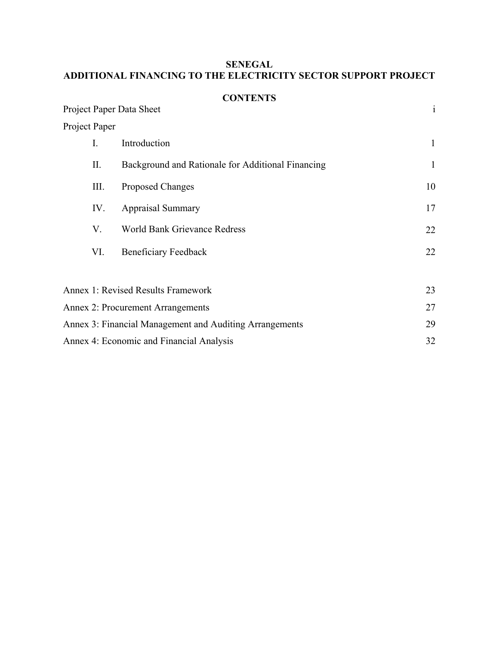# **SENEGAL ADDITIONAL FINANCING TO THE ELECTRICITY SECTOR SUPPORT PROJECT**

|                          | <b>CONTENTS</b>                                               |              |  |  |  |  |
|--------------------------|---------------------------------------------------------------|--------------|--|--|--|--|
| Project Paper Data Sheet |                                                               | $\mathbf{i}$ |  |  |  |  |
| Project Paper            |                                                               |              |  |  |  |  |
| $I_{\cdot}$              | Introduction                                                  | $\mathbf{1}$ |  |  |  |  |
| II.                      | Background and Rationale for Additional Financing             | $\mathbf{1}$ |  |  |  |  |
| Ш.                       | <b>Proposed Changes</b>                                       | 10           |  |  |  |  |
| IV.                      | <b>Appraisal Summary</b>                                      | 17           |  |  |  |  |
| V.                       | <b>World Bank Grievance Redress</b>                           | 22           |  |  |  |  |
| VI.                      | <b>Beneficiary Feedback</b>                                   | 22           |  |  |  |  |
|                          |                                                               |              |  |  |  |  |
|                          | <b>Annex 1: Revised Results Framework</b>                     | 23           |  |  |  |  |
|                          | Annex 2: Procurement Arrangements                             | 27           |  |  |  |  |
|                          | Annex 3: Financial Management and Auditing Arrangements<br>29 |              |  |  |  |  |
|                          | Annex 4: Economic and Financial Analysis                      | 32           |  |  |  |  |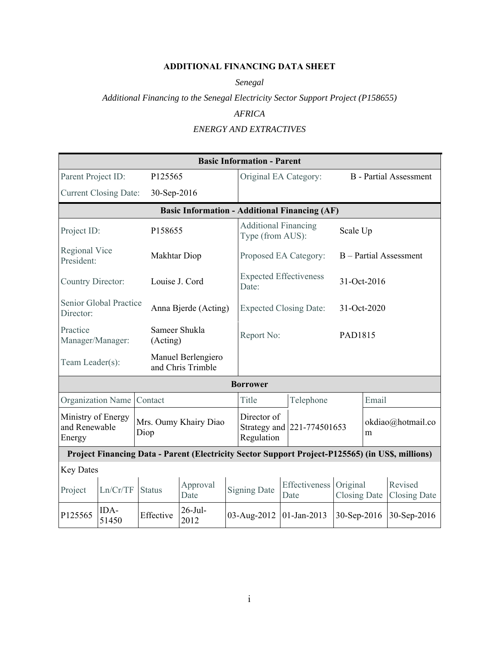## **ADDITIONAL FINANCING DATA SHEET**

*Senegal*

*Additional Financing to the Senegal Electricity Sector Support Project (P158655)*

# *AFRICA*

# *ENERGY AND EXTRACTIVES*

|                                    | <b>Basic Information - Parent</b>                                    |                           |                                                      |                                                         |                                                 |  |                        |                                 |                               |                                                                                                  |  |
|------------------------------------|----------------------------------------------------------------------|---------------------------|------------------------------------------------------|---------------------------------------------------------|-------------------------------------------------|--|------------------------|---------------------------------|-------------------------------|--------------------------------------------------------------------------------------------------|--|
| Parent Project ID:                 |                                                                      | P125565                   |                                                      |                                                         | Original EA Category:                           |  |                        |                                 | <b>B</b> - Partial Assessment |                                                                                                  |  |
|                                    | <b>Current Closing Date:</b>                                         | 30-Sep-2016               |                                                      |                                                         |                                                 |  |                        |                                 |                               |                                                                                                  |  |
|                                    |                                                                      |                           | <b>Basic Information - Additional Financing (AF)</b> |                                                         |                                                 |  |                        |                                 |                               |                                                                                                  |  |
| Project ID:                        |                                                                      | P158655                   |                                                      |                                                         | <b>Additional Financing</b><br>Type (from AUS): |  |                        |                                 | Scale Up                      |                                                                                                  |  |
| <b>Regional Vice</b><br>President: |                                                                      | Makhtar Diop              |                                                      |                                                         | Proposed EA Category:                           |  |                        |                                 |                               | B - Partial Assessment                                                                           |  |
| Country Director:                  |                                                                      | Louise J. Cord            |                                                      |                                                         | <b>Expected Effectiveness</b><br>Date:          |  |                        | 31-Oct-2016                     |                               |                                                                                                  |  |
| Director:                          | Senior Global Practice                                               |                           | Anna Bjerde (Acting)                                 |                                                         | <b>Expected Closing Date:</b>                   |  |                        |                                 | 31-Oct-2020                   |                                                                                                  |  |
| Practice<br>Manager/Manager:       |                                                                      | Sameer Shukla<br>(Acting) |                                                      | Report No:                                              |                                                 |  |                        | PAD1815                         |                               |                                                                                                  |  |
| Team Leader(s):                    |                                                                      |                           | Manuel Berlengiero<br>and Chris Trimble              |                                                         |                                                 |  |                        |                                 |                               |                                                                                                  |  |
|                                    |                                                                      |                           |                                                      |                                                         | <b>Borrower</b>                                 |  |                        |                                 |                               |                                                                                                  |  |
| Organization Name                  |                                                                      | Contact                   |                                                      |                                                         | Title                                           |  | Telephone              |                                 | Email                         |                                                                                                  |  |
| Energy                             | Ministry of Energy<br>Mrs. Oumy Khairy Diao<br>and Renewable<br>Diop |                           |                                                      | Director of<br>Strategy and 221-774501653<br>Regulation |                                                 |  | okdiao@hotmail.co<br>m |                                 |                               |                                                                                                  |  |
|                                    |                                                                      |                           |                                                      |                                                         |                                                 |  |                        |                                 |                               | Project Financing Data - Parent (Electricity Sector Support Project-P125565) (in US\$, millions) |  |
| <b>Key Dates</b>                   |                                                                      |                           |                                                      |                                                         |                                                 |  |                        |                                 |                               |                                                                                                  |  |
| Project                            | Ln/Cr/TF                                                             | <b>Status</b>             | Approval<br>Date                                     |                                                         | <b>Signing Date</b>                             |  | Effectiveness<br>Date  | Original<br><b>Closing Date</b> |                               | Revised<br><b>Closing Date</b>                                                                   |  |
| P125565                            | IDA-<br>51450                                                        | Effective                 | $26$ -Jul-<br>2012                                   |                                                         | 03-Aug-2012                                     |  | 01-Jan-2013            | 30-Sep-2016                     |                               | 30-Sep-2016                                                                                      |  |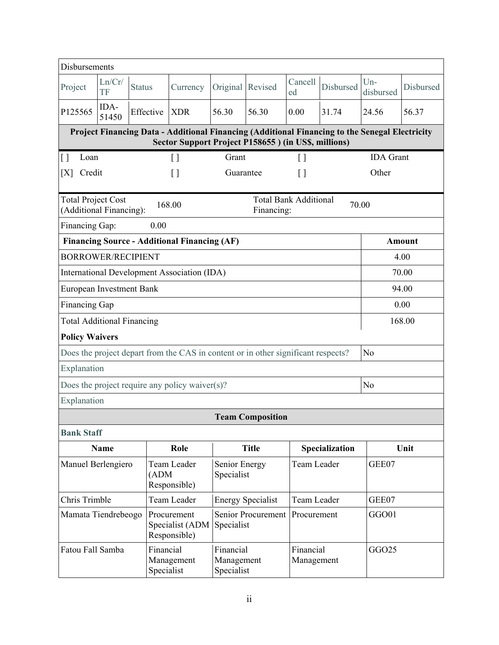| Disbursements                                        |                                                               |                         |                                                                                                                                                        |                                       |                                            |                         |                |                    |               |
|------------------------------------------------------|---------------------------------------------------------------|-------------------------|--------------------------------------------------------------------------------------------------------------------------------------------------------|---------------------------------------|--------------------------------------------|-------------------------|----------------|--------------------|---------------|
| Project                                              | Ln/Cr/<br>TF                                                  | <b>Status</b>           | Currency                                                                                                                                               | Original                              | Revised                                    | Cancell<br>ed           | Disbursed      | $Un-$<br>disbursed | Disbursed     |
| P125565                                              | IDA-<br>51450                                                 | Effective               | <b>XDR</b>                                                                                                                                             | 56.30                                 | 56.30                                      | 0.00                    | 31.74          | 24.56              | 56.37         |
|                                                      |                                                               |                         | Project Financing Data - Additional Financing (Additional Financing to the Senegal Electricity<br>Sector Support Project P158655 ) (in US\$, millions) |                                       |                                            |                         |                |                    |               |
| Loan<br>$\vert \ \vert$                              |                                                               |                         | $\begin{bmatrix} \end{bmatrix}$                                                                                                                        | Grant                                 |                                            | $\left[ \ \right]$      |                | <b>IDA</b> Grant   |               |
| [X]                                                  | Credit<br>Other<br>$[ \ ]$<br>Guarantee<br>$\left[ \ \right]$ |                         |                                                                                                                                                        |                                       |                                            |                         |                |                    |               |
| <b>Total Project Cost</b><br>(Additional Financing): |                                                               |                         | 168.00                                                                                                                                                 |                                       | <b>Total Bank Additional</b><br>Financing: |                         | 70.00          |                    |               |
| Financing Gap:                                       |                                                               | 0.00                    |                                                                                                                                                        |                                       |                                            |                         |                |                    |               |
|                                                      |                                                               |                         | <b>Financing Source - Additional Financing (AF)</b>                                                                                                    |                                       |                                            |                         |                |                    | <b>Amount</b> |
| <b>BORROWER/RECIPIENT</b>                            |                                                               |                         |                                                                                                                                                        |                                       |                                            |                         |                |                    | 4.00          |
|                                                      |                                                               |                         | International Development Association (IDA)                                                                                                            |                                       |                                            |                         |                |                    | 70.00         |
| European Investment Bank                             |                                                               |                         |                                                                                                                                                        |                                       |                                            |                         |                |                    | 94.00         |
| <b>Financing Gap</b>                                 |                                                               |                         |                                                                                                                                                        |                                       |                                            |                         |                |                    | 0.00          |
|                                                      | 168.00<br><b>Total Additional Financing</b>                   |                         |                                                                                                                                                        |                                       |                                            |                         |                |                    |               |
| <b>Policy Waivers</b>                                |                                                               |                         |                                                                                                                                                        |                                       |                                            |                         |                |                    |               |
|                                                      |                                                               |                         | Does the project depart from the CAS in content or in other significant respects?                                                                      |                                       |                                            |                         |                | N <sub>o</sub>     |               |
| Explanation                                          |                                                               |                         |                                                                                                                                                        |                                       |                                            |                         |                |                    |               |
|                                                      |                                                               |                         | Does the project require any policy waiver $(s)$ ?                                                                                                     |                                       |                                            |                         |                | N <sub>o</sub>     |               |
| Explanation                                          |                                                               |                         |                                                                                                                                                        |                                       |                                            |                         |                |                    |               |
|                                                      |                                                               |                         |                                                                                                                                                        |                                       | <b>Team Composition</b>                    |                         |                |                    |               |
| <b>Bank Staff</b>                                    |                                                               |                         |                                                                                                                                                        |                                       |                                            |                         |                |                    |               |
|                                                      | <b>Name</b>                                                   |                         | Role                                                                                                                                                   |                                       | <b>Title</b>                               |                         | Specialization |                    | Unit          |
| Manuel Berlengiero                                   |                                                               | (ADM)                   | Team Leader<br>Responsible)                                                                                                                            | Senior Energy<br>Specialist           |                                            | Team Leader             |                | GEE07              |               |
| Chris Trimble                                        |                                                               |                         | Team Leader                                                                                                                                            |                                       | <b>Energy Specialist</b>                   | Team Leader             |                | GEE07              |               |
| Mamata Tiendrebeogo                                  |                                                               |                         | Procurement<br>Specialist (ADM<br>Responsible)                                                                                                         | Specialist                            | <b>Senior Procurement</b>                  | Procurement             |                | GGO01              |               |
| Fatou Fall Samba                                     |                                                               | Financial<br>Specialist | Management                                                                                                                                             | Financial<br>Management<br>Specialist |                                            | Financial<br>Management |                | GGO25              |               |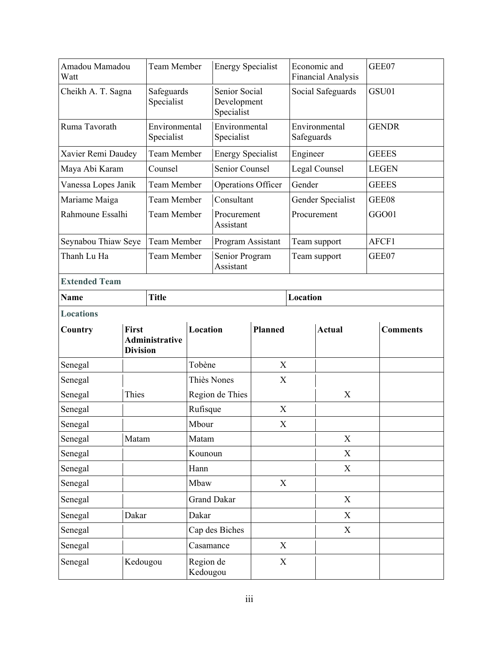| Amadou Mamadou<br>Watt |                                 | <b>Team Member</b>          | <b>Energy Specialist</b>                   |                             |                | Economic and<br>Financial Analysis |                   | GEE07           |
|------------------------|---------------------------------|-----------------------------|--------------------------------------------|-----------------------------|----------------|------------------------------------|-------------------|-----------------|
| Cheikh A. T. Sagna     |                                 | Safeguards<br>Specialist    | Senior Social<br>Development<br>Specialist |                             |                |                                    | Social Safeguards | GSU01           |
| Ruma Tavorath          |                                 | Environmental<br>Specialist |                                            | Environmental<br>Specialist |                | Safeguards                         | Environmental     | <b>GENDR</b>    |
| Xavier Remi Daudey     |                                 | <b>Team Member</b>          |                                            | <b>Energy Specialist</b>    |                | Engineer                           |                   | <b>GEEES</b>    |
| Maya Abi Karam         |                                 | Counsel                     |                                            | <b>Senior Counsel</b>       |                |                                    | Legal Counsel     | <b>LEGEN</b>    |
| Vanessa Lopes Janik    |                                 | Team Member                 |                                            | <b>Operations Officer</b>   |                | Gender                             |                   | <b>GEEES</b>    |
| Mariame Maiga          |                                 | Team Member                 |                                            | Consultant                  |                |                                    | Gender Specialist | GEE08           |
| Rahmoune Essalhi       |                                 | <b>Team Member</b>          |                                            | Procurement<br>Assistant    |                |                                    | Procurement       | GGO01           |
| Seynabou Thiaw Seye    |                                 | Team Member                 |                                            | Program Assistant           |                |                                    | Team support      | AFCF1           |
| Thanh Lu Ha            |                                 | Team Member                 |                                            | Senior Program<br>Assistant |                | Team support                       |                   | GEE07           |
| <b>Extended Team</b>   |                                 |                             |                                            |                             |                |                                    |                   |                 |
| <b>Name</b>            |                                 | <b>Title</b>                |                                            |                             |                | Location                           |                   |                 |
| <b>Locations</b>       |                                 |                             |                                            |                             |                |                                    |                   |                 |
| Country                | <b>First</b><br><b>Division</b> | Administrative              | Location                                   |                             | <b>Planned</b> |                                    | <b>Actual</b>     | <b>Comments</b> |
| Senegal                |                                 |                             | Tobène                                     |                             | X              |                                    |                   |                 |
| Senegal                |                                 |                             | Thiès Nones                                |                             | X              |                                    |                   |                 |
| Senegal                | Thies                           |                             |                                            | Region de Thies             |                |                                    | X                 |                 |
| Senegal                |                                 |                             | Rufisque                                   |                             | X              |                                    |                   |                 |
| Senegal                |                                 |                             | Mbour                                      |                             | $\mathbf X$    |                                    |                   |                 |
| Senegal                | Matam                           |                             | Matam                                      |                             |                |                                    | X                 |                 |
| Senegal                |                                 |                             | Kounoun                                    |                             |                |                                    | X                 |                 |
| Senegal                |                                 |                             | Hann                                       |                             |                |                                    | X                 |                 |
| Senegal                |                                 |                             | Mbaw                                       |                             | X              |                                    |                   |                 |
| Senegal                |                                 |                             |                                            | <b>Grand Dakar</b>          |                |                                    | X                 |                 |
| Senegal                | Dakar                           |                             | Dakar                                      |                             |                |                                    | X                 |                 |
| Senegal                |                                 |                             |                                            | Cap des Biches              |                |                                    | X                 |                 |
| Senegal                |                                 |                             | Casamance                                  |                             | X              |                                    |                   |                 |
| Senegal                | Kedougou                        |                             | Region de<br>Kedougou                      |                             | X              |                                    |                   |                 |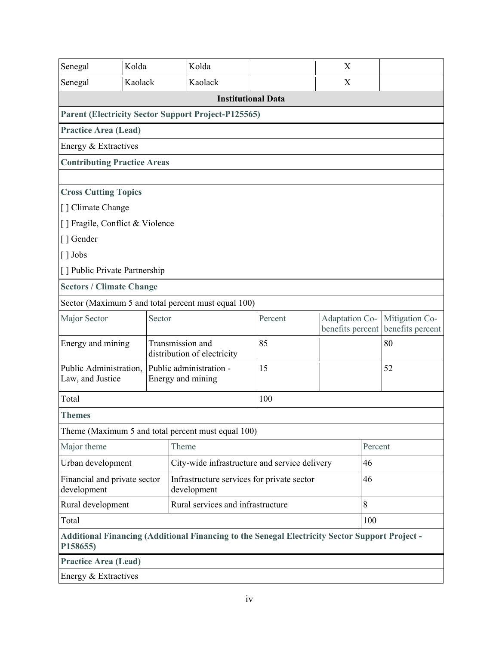| Senegal                                                | Kolda   |        | Kolda                                                                                          |                           | X                                  |         |                                    |  |  |
|--------------------------------------------------------|---------|--------|------------------------------------------------------------------------------------------------|---------------------------|------------------------------------|---------|------------------------------------|--|--|
| Senegal                                                | Kaolack |        | Kaolack                                                                                        |                           | X                                  |         |                                    |  |  |
|                                                        |         |        |                                                                                                | <b>Institutional Data</b> |                                    |         |                                    |  |  |
|                                                        |         |        | <b>Parent (Electricity Sector Support Project-P125565)</b>                                     |                           |                                    |         |                                    |  |  |
| <b>Practice Area (Lead)</b>                            |         |        |                                                                                                |                           |                                    |         |                                    |  |  |
| Energy & Extractives                                   |         |        |                                                                                                |                           |                                    |         |                                    |  |  |
| <b>Contributing Practice Areas</b>                     |         |        |                                                                                                |                           |                                    |         |                                    |  |  |
|                                                        |         |        |                                                                                                |                           |                                    |         |                                    |  |  |
| <b>Cross Cutting Topics</b>                            |         |        |                                                                                                |                           |                                    |         |                                    |  |  |
| [] Climate Change                                      |         |        |                                                                                                |                           |                                    |         |                                    |  |  |
| [] Fragile, Conflict & Violence                        |         |        |                                                                                                |                           |                                    |         |                                    |  |  |
| [ ] Gender                                             |         |        |                                                                                                |                           |                                    |         |                                    |  |  |
| $\lceil$ ] Jobs                                        |         |        |                                                                                                |                           |                                    |         |                                    |  |  |
| [] Public Private Partnership                          |         |        |                                                                                                |                           |                                    |         |                                    |  |  |
| <b>Sectors / Climate Change</b>                        |         |        |                                                                                                |                           |                                    |         |                                    |  |  |
|                                                        |         |        | Sector (Maximum 5 and total percent must equal 100)                                            |                           |                                    |         |                                    |  |  |
| Major Sector                                           |         | Sector |                                                                                                | Percent                   | Adaptation Co-<br>benefits percent |         | Mitigation Co-<br>benefits percent |  |  |
| Energy and mining                                      |         |        | Transmission and<br>distribution of electricity                                                | 85                        |                                    |         | 80                                 |  |  |
| Public Administration,<br>Law, and Justice             |         |        | Public administration -<br>Energy and mining                                                   | 15                        |                                    |         | 52                                 |  |  |
| Total                                                  |         |        |                                                                                                | 100                       |                                    |         |                                    |  |  |
| <b>Themes</b>                                          |         |        |                                                                                                |                           |                                    |         |                                    |  |  |
|                                                        |         |        | Theme (Maximum 5 and total percent must equal 100)                                             |                           |                                    |         |                                    |  |  |
| Major theme                                            |         |        | Theme                                                                                          |                           |                                    | Percent |                                    |  |  |
| Urban development                                      |         |        | City-wide infrastructure and service delivery                                                  |                           |                                    | 46      |                                    |  |  |
| Financial and private sector<br>development            |         |        | Infrastructure services for private sector<br>development                                      |                           | 46                                 |         |                                    |  |  |
| Rural services and infrastructure<br>Rural development |         |        |                                                                                                |                           |                                    | 8       |                                    |  |  |
| Total                                                  |         |        |                                                                                                |                           |                                    | 100     |                                    |  |  |
| P158655)                                               |         |        | Additional Financing (Additional Financing to the Senegal Electricity Sector Support Project - |                           |                                    |         |                                    |  |  |
| <b>Practice Area (Lead)</b>                            |         |        |                                                                                                |                           |                                    |         |                                    |  |  |
| Energy & Extractives                                   |         |        |                                                                                                |                           |                                    |         |                                    |  |  |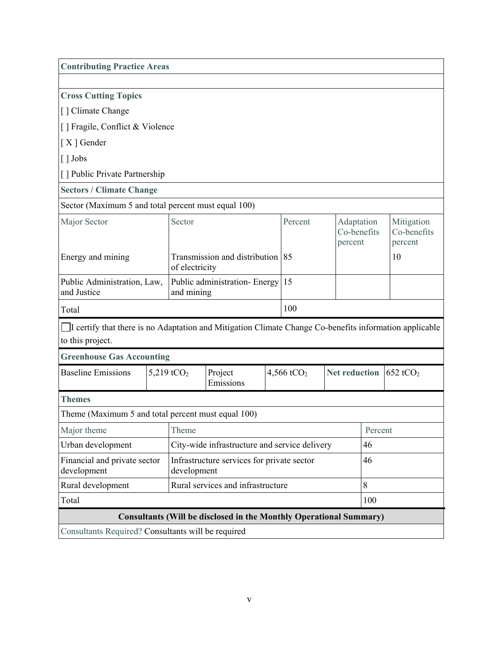| <b>Contributing Practice Areas</b>                                                                                         |                                                                           |                                                    |                                                                           |  |                                                |         |                           |                                      |  |
|----------------------------------------------------------------------------------------------------------------------------|---------------------------------------------------------------------------|----------------------------------------------------|---------------------------------------------------------------------------|--|------------------------------------------------|---------|---------------------------|--------------------------------------|--|
|                                                                                                                            |                                                                           |                                                    |                                                                           |  |                                                |         |                           |                                      |  |
| <b>Cross Cutting Topics</b>                                                                                                |                                                                           |                                                    |                                                                           |  |                                                |         |                           |                                      |  |
| [] Climate Change                                                                                                          |                                                                           |                                                    |                                                                           |  |                                                |         |                           |                                      |  |
| [] Fragile, Conflict & Violence                                                                                            |                                                                           |                                                    |                                                                           |  |                                                |         |                           |                                      |  |
| [X] Gender                                                                                                                 |                                                                           |                                                    |                                                                           |  |                                                |         |                           |                                      |  |
| [] Jobs                                                                                                                    |                                                                           |                                                    |                                                                           |  |                                                |         |                           |                                      |  |
| [] Public Private Partnership                                                                                              |                                                                           |                                                    |                                                                           |  |                                                |         |                           |                                      |  |
| <b>Sectors / Climate Change</b>                                                                                            |                                                                           |                                                    |                                                                           |  |                                                |         |                           |                                      |  |
| Sector (Maximum 5 and total percent must equal 100)                                                                        |                                                                           |                                                    |                                                                           |  |                                                |         |                           |                                      |  |
| Major Sector                                                                                                               | Sector                                                                    |                                                    |                                                                           |  | Percent                                        | percent | Adaptation<br>Co-benefits | Mitigation<br>Co-benefits<br>percent |  |
| Energy and mining                                                                                                          |                                                                           | Transmission and distribution 85<br>of electricity |                                                                           |  |                                                |         |                           | 10                                   |  |
| and Justice                                                                                                                | Public Administration, Law,<br>Public administration-Energy<br>and mining |                                                    |                                                                           |  | 15                                             |         |                           |                                      |  |
| Total                                                                                                                      |                                                                           |                                                    |                                                                           |  | 100                                            |         |                           |                                      |  |
| I certify that there is no Adaptation and Mitigation Climate Change Co-benefits information applicable<br>to this project. |                                                                           |                                                    |                                                                           |  |                                                |         |                           |                                      |  |
| <b>Greenhouse Gas Accounting</b>                                                                                           |                                                                           |                                                    |                                                                           |  |                                                |         |                           |                                      |  |
| <b>Baseline Emissions</b>                                                                                                  |                                                                           | 5,219 tCO <sub>2</sub>                             | Project<br>Emissions                                                      |  | 4,566 tCO <sub>2</sub><br><b>Net reduction</b> |         |                           | 652 tCO <sub>2</sub>                 |  |
| <b>Themes</b>                                                                                                              |                                                                           |                                                    |                                                                           |  |                                                |         |                           |                                      |  |
| Theme (Maximum 5 and total percent must equal 100)                                                                         |                                                                           |                                                    |                                                                           |  |                                                |         |                           |                                      |  |
| Major theme                                                                                                                |                                                                           | Theme                                              |                                                                           |  |                                                |         | Percent                   |                                      |  |
| Urban development                                                                                                          |                                                                           |                                                    | City-wide infrastructure and service delivery                             |  |                                                |         | 46                        |                                      |  |
| Financial and private sector<br>Infrastructure services for private sector<br>development<br>development                   |                                                                           |                                                    |                                                                           |  | 46                                             |         |                           |                                      |  |
| Rural development                                                                                                          |                                                                           |                                                    | Rural services and infrastructure                                         |  |                                                |         | 8                         |                                      |  |
| Total                                                                                                                      |                                                                           |                                                    |                                                                           |  |                                                |         | 100                       |                                      |  |
|                                                                                                                            |                                                                           |                                                    | <b>Consultants (Will be disclosed in the Monthly Operational Summary)</b> |  |                                                |         |                           |                                      |  |
| Consultants Required? Consultants will be required                                                                         |                                                                           |                                                    |                                                                           |  |                                                |         |                           |                                      |  |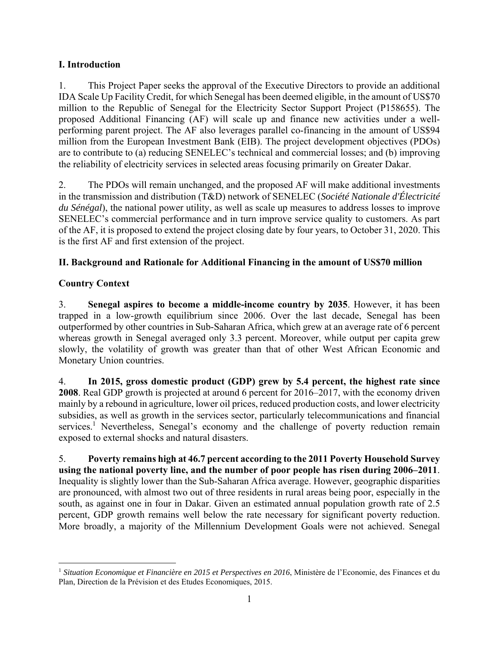# **I. Introduction**

1. This Project Paper seeks the approval of the Executive Directors to provide an additional IDA Scale Up Facility Credit, for which Senegal has been deemed eligible, in the amount of US\$70 million to the Republic of Senegal for the Electricity Sector Support Project (P158655). The proposed Additional Financing (AF) will scale up and finance new activities under a wellperforming parent project. The AF also leverages parallel co-financing in the amount of US\$94 million from the European Investment Bank (EIB). The project development objectives (PDOs) are to contribute to (a) reducing SENELEC's technical and commercial losses; and (b) improving the reliability of electricity services in selected areas focusing primarily on Greater Dakar.

2. The PDOs will remain unchanged, and the proposed AF will make additional investments in the transmission and distribution (T&D) network of SENELEC (*Société Nationale d'Électricité du Sénégal*), the national power utility, as well as scale up measures to address losses to improve SENELEC's commercial performance and in turn improve service quality to customers. As part of the AF, it is proposed to extend the project closing date by four years, to October 31, 2020. This is the first AF and first extension of the project.

# **II. Background and Rationale for Additional Financing in the amount of US\$70 million**

# **Country Context**

3. **Senegal aspires to become a middle-income country by 2035**. However, it has been trapped in a low-growth equilibrium since 2006. Over the last decade, Senegal has been outperformed by other countries in Sub-Saharan Africa, which grew at an average rate of 6 percent whereas growth in Senegal averaged only 3.3 percent. Moreover, while output per capita grew slowly, the volatility of growth was greater than that of other West African Economic and Monetary Union countries.

4. **In 2015, gross domestic product (GDP) grew by 5.4 percent, the highest rate since 2008**. Real GDP growth is projected at around 6 percent for 2016–2017, with the economy driven mainly by a rebound in agriculture, lower oil prices, reduced production costs, and lower electricity subsidies, as well as growth in the services sector, particularly telecommunications and financial services.<sup>1</sup> Nevertheless, Senegal's economy and the challenge of poverty reduction remain exposed to external shocks and natural disasters.

5. **Poverty remains high at 46.7 percent according to the 2011 Poverty Household Survey using the national poverty line, and the number of poor people has risen during 2006–2011**. Inequality is slightly lower than the Sub-Saharan Africa average. However, geographic disparities are pronounced, with almost two out of three residents in rural areas being poor, especially in the south, as against one in four in Dakar. Given an estimated annual population growth rate of 2.5 percent, GDP growth remains well below the rate necessary for significant poverty reduction. More broadly, a majority of the Millennium Development Goals were not achieved. Senegal

<sup>1</sup> <sup>1</sup> Situation Economique et Financière en 2015 et Perspectives en 2016, Ministère de l'Economie, des Finances et du Plan, Direction de la Prévision et des Etudes Economiques, 2015.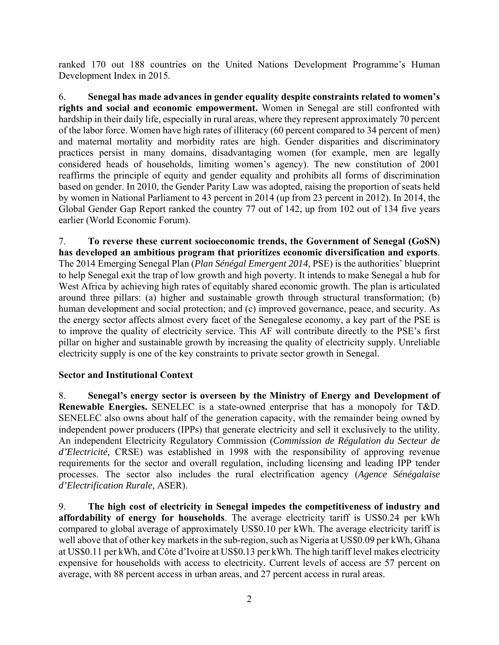ranked 170 out 188 countries on the United Nations Development Programme's Human Development Index in 2015.

6. **Senegal has made advances in gender equality despite constraints related to women's rights and social and economic empowerment.** Women in Senegal are still confronted with hardship in their daily life, especially in rural areas, where they represent approximately 70 percent of the labor force. Women have high rates of illiteracy (60 percent compared to 34 percent of men) and maternal mortality and morbidity rates are high. Gender disparities and discriminatory practices persist in many domains, disadvantaging women (for example, men are legally considered heads of households, limiting women's agency). The new constitution of 2001 reaffirms the principle of equity and gender equality and prohibits all forms of discrimination based on gender. In 2010, the Gender Parity Law was adopted, raising the proportion of seats held by women in National Parliament to 43 percent in 2014 (up from 23 percent in 2012). In 2014, the Global Gender Gap Report ranked the country 77 out of 142, up from 102 out of 134 five years earlier (World Economic Forum).

7. **To reverse these current socioeconomic trends, the Government of Senegal (GoSN) has developed an ambitious program that prioritizes economic diversification and exports**. The 2014 Emerging Senegal Plan (*Plan Sénégal Emergent 2014*, PSE) is the authorities' blueprint to help Senegal exit the trap of low growth and high poverty. It intends to make Senegal a hub for West Africa by achieving high rates of equitably shared economic growth. The plan is articulated around three pillars: (a) higher and sustainable growth through structural transformation; (b) human development and social protection; and (c) improved governance, peace, and security. As the energy sector affects almost every facet of the Senegalese economy, a key part of the PSE is to improve the quality of electricity service. This AF will contribute directly to the PSE's first pillar on higher and sustainable growth by increasing the quality of electricity supply. Unreliable electricity supply is one of the key constraints to private sector growth in Senegal.

# **Sector and Institutional Context**

8. **Senegal's energy sector is overseen by the Ministry of Energy and Development of Renewable Energies.** SENELEC is a state-owned enterprise that has a monopoly for T&D. SENELEC also owns about half of the generation capacity, with the remainder being owned by independent power producers (IPPs) that generate electricity and sell it exclusively to the utility. An independent Electricity Regulatory Commission (*Commission de Régulation du Secteur de d'Electricité,* CRSE) was established in 1998 with the responsibility of approving revenue requirements for the sector and overall regulation, including licensing and leading IPP tender processes. The sector also includes the rural electrification agency (*Agence Sénégalaise d'Electrification Rurale,* ASER).

9. **The high cost of electricity in Senegal impedes the competitiveness of industry and affordability of energy for households**. The average electricity tariff is US\$0.24 per kWh compared to global average of approximately US\$0.10 per kWh. The average electricity tariff is well above that of other key markets in the sub-region, such as Nigeria at US\$0.09 per kWh, Ghana at US\$0.11 per kWh, and Côte d'Ivoire at US\$0.13 per kWh. The high tariff level makes electricity expensive for households with access to electricity. Current levels of access are 57 percent on average, with 88 percent access in urban areas, and 27 percent access in rural areas.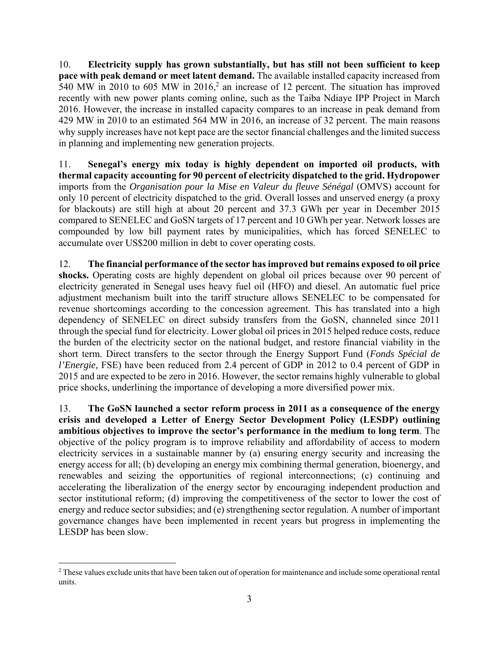10. **Electricity supply has grown substantially, but has still not been sufficient to keep pace with peak demand or meet latent demand.** The available installed capacity increased from 540 MW in 2010 to 605 MW in  $2016<sup>2</sup>$  an increase of 12 percent. The situation has improved recently with new power plants coming online, such as the Taiba Ndiaye IPP Project in March 2016. However, the increase in installed capacity compares to an increase in peak demand from 429 MW in 2010 to an estimated 564 MW in 2016, an increase of 32 percent. The main reasons why supply increases have not kept pace are the sector financial challenges and the limited success in planning and implementing new generation projects.

11. **Senegal's energy mix today is highly dependent on imported oil products, with thermal capacity accounting for 90 percent of electricity dispatched to the grid. Hydropower**  imports from the *Organisation pour la Mise en Valeur du fleuve Sénégal* (OMVS) account for only 10 percent of electricity dispatched to the grid. Overall losses and unserved energy (a proxy for blackouts) are still high at about 20 percent and 37.3 GWh per year in December 2015 compared to SENELEC and GoSN targets of 17 percent and 10 GWh per year. Network losses are compounded by low bill payment rates by municipalities, which has forced SENELEC to accumulate over US\$200 million in debt to cover operating costs.

12. **The financial performance of the sector has improved but remains exposed to oil price shocks.** Operating costs are highly dependent on global oil prices because over 90 percent of electricity generated in Senegal uses heavy fuel oil (HFO) and diesel. An automatic fuel price adjustment mechanism built into the tariff structure allows SENELEC to be compensated for revenue shortcomings according to the concession agreement. This has translated into a high dependency of SENELEC on direct subsidy transfers from the GoSN, channeled since 2011 through the special fund for electricity. Lower global oil prices in 2015 helped reduce costs, reduce the burden of the electricity sector on the national budget, and restore financial viability in the short term. Direct transfers to the sector through the Energy Support Fund (*Fonds Spécial de l'Energie,* FSE) have been reduced from 2.4 percent of GDP in 2012 to 0.4 percent of GDP in 2015 and are expected to be zero in 2016. However, the sector remains highly vulnerable to global price shocks, underlining the importance of developing a more diversified power mix.

13. **The GoSN launched a sector reform process in 2011 as a consequence of the energy crisis and developed a Letter of Energy Sector Development Policy (LESDP) outlining ambitious objectives to improve the sector's performance in the medium to long term**. The objective of the policy program is to improve reliability and affordability of access to modern electricity services in a sustainable manner by (a) ensuring energy security and increasing the energy access for all; (b) developing an energy mix combining thermal generation, bioenergy, and renewables and seizing the opportunities of regional interconnections; (c) continuing and accelerating the liberalization of the energy sector by encouraging independent production and sector institutional reform; (d) improving the competitiveness of the sector to lower the cost of energy and reduce sector subsidies; and (e) strengthening sector regulation. A number of important governance changes have been implemented in recent years but progress in implementing the LESDP has been slow.

<sup>&</sup>lt;sup>2</sup> These values exclude units that have been taken out of operation for maintenance and include some operational rental units.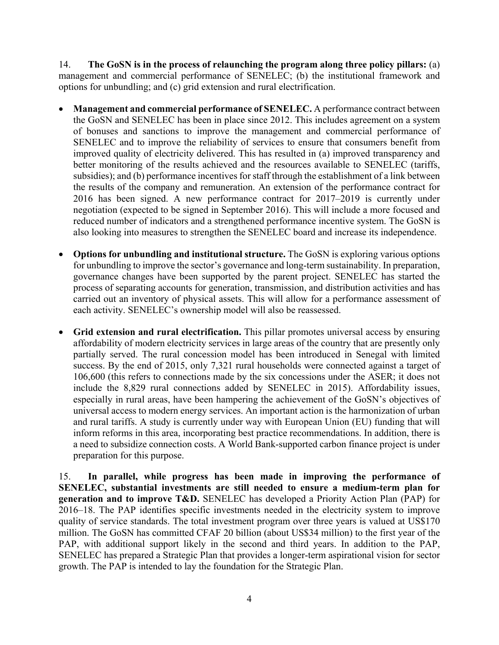14. **The GoSN is in the process of relaunching the program along three policy pillars:** (a) management and commercial performance of SENELEC; (b) the institutional framework and options for unbundling; and (c) grid extension and rural electrification.

- **Management and commercial performance of SENELEC.** A performance contract between the GoSN and SENELEC has been in place since 2012. This includes agreement on a system of bonuses and sanctions to improve the management and commercial performance of SENELEC and to improve the reliability of services to ensure that consumers benefit from improved quality of electricity delivered. This has resulted in (a) improved transparency and better monitoring of the results achieved and the resources available to SENELEC (tariffs, subsidies); and (b) performance incentives for staff through the establishment of a link between the results of the company and remuneration. An extension of the performance contract for 2016 has been signed. A new performance contract for 2017–2019 is currently under negotiation (expected to be signed in September 2016). This will include a more focused and reduced number of indicators and a strengthened performance incentive system. The GoSN is also looking into measures to strengthen the SENELEC board and increase its independence.
- **Options for unbundling and institutional structure.** The GoSN is exploring various options for unbundling to improve the sector's governance and long-term sustainability. In preparation, governance changes have been supported by the parent project. SENELEC has started the process of separating accounts for generation, transmission, and distribution activities and has carried out an inventory of physical assets. This will allow for a performance assessment of each activity. SENELEC's ownership model will also be reassessed.
- **Grid extension and rural electrification.** This pillar promotes universal access by ensuring affordability of modern electricity services in large areas of the country that are presently only partially served. The rural concession model has been introduced in Senegal with limited success. By the end of 2015, only 7,321 rural households were connected against a target of 106,600 (this refers to connections made by the six concessions under the ASER; it does not include the 8,829 rural connections added by SENELEC in 2015). Affordability issues, especially in rural areas, have been hampering the achievement of the GoSN's objectives of universal access to modern energy services. An important action is the harmonization of urban and rural tariffs. A study is currently under way with European Union (EU) funding that will inform reforms in this area, incorporating best practice recommendations. In addition, there is a need to subsidize connection costs. A World Bank-supported carbon finance project is under preparation for this purpose.

15. **In parallel, while progress has been made in improving the performance of SENELEC, substantial investments are still needed to ensure a medium-term plan for generation and to improve T&D.** SENELEC has developed a Priority Action Plan (PAP) for 2016–18. The PAP identifies specific investments needed in the electricity system to improve quality of service standards. The total investment program over three years is valued at US\$170 million. The GoSN has committed CFAF 20 billion (about US\$34 million) to the first year of the PAP, with additional support likely in the second and third years. In addition to the PAP, SENELEC has prepared a Strategic Plan that provides a longer-term aspirational vision for sector growth. The PAP is intended to lay the foundation for the Strategic Plan.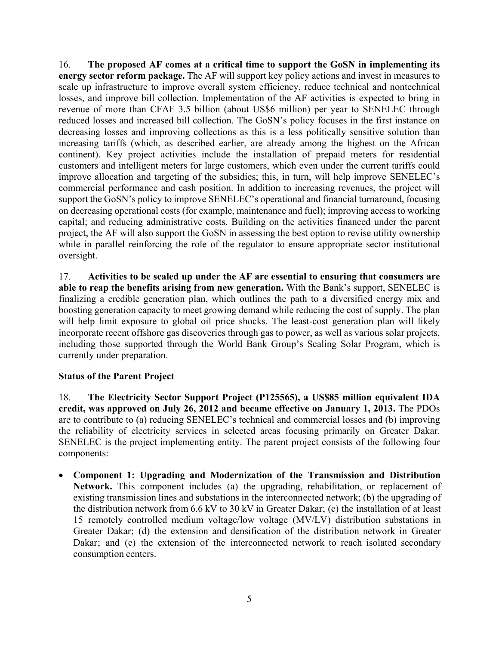16. **The proposed AF comes at a critical time to support the GoSN in implementing its energy sector reform package.** The AF will support key policy actions and invest in measures to scale up infrastructure to improve overall system efficiency, reduce technical and nontechnical losses, and improve bill collection. Implementation of the AF activities is expected to bring in revenue of more than CFAF 3.5 billion (about US\$6 million) per year to SENELEC through reduced losses and increased bill collection. The GoSN's policy focuses in the first instance on decreasing losses and improving collections as this is a less politically sensitive solution than increasing tariffs (which, as described earlier, are already among the highest on the African continent). Key project activities include the installation of prepaid meters for residential customers and intelligent meters for large customers, which even under the current tariffs could improve allocation and targeting of the subsidies; this, in turn, will help improve SENELEC's commercial performance and cash position. In addition to increasing revenues, the project will support the GoSN's policy to improve SENELEC's operational and financial turnaround, focusing on decreasing operational costs (for example, maintenance and fuel); improving access to working capital; and reducing administrative costs. Building on the activities financed under the parent project, the AF will also support the GoSN in assessing the best option to revise utility ownership while in parallel reinforcing the role of the regulator to ensure appropriate sector institutional oversight.

17. **Activities to be scaled up under the AF are essential to ensuring that consumers are able to reap the benefits arising from new generation.** With the Bank's support, SENELEC is finalizing a credible generation plan, which outlines the path to a diversified energy mix and boosting generation capacity to meet growing demand while reducing the cost of supply. The plan will help limit exposure to global oil price shocks. The least-cost generation plan will likely incorporate recent offshore gas discoveries through gas to power, as well as various solar projects, including those supported through the World Bank Group's Scaling Solar Program, which is currently under preparation.

# **Status of the Parent Project**

18. **The Electricity Sector Support Project (P125565), a US\$85 million equivalent IDA credit, was approved on July 26, 2012 and became effective on January 1, 2013.** The PDOs are to contribute to (a) reducing SENELEC's technical and commercial losses and (b) improving the reliability of electricity services in selected areas focusing primarily on Greater Dakar. SENELEC is the project implementing entity. The parent project consists of the following four components:

 **Component 1: Upgrading and Modernization of the Transmission and Distribution Network.** This component includes (a) the upgrading, rehabilitation, or replacement of existing transmission lines and substations in the interconnected network; (b) the upgrading of the distribution network from 6.6 kV to 30 kV in Greater Dakar; (c) the installation of at least 15 remotely controlled medium voltage/low voltage (MV/LV) distribution substations in Greater Dakar; (d) the extension and densification of the distribution network in Greater Dakar; and (e) the extension of the interconnected network to reach isolated secondary consumption centers.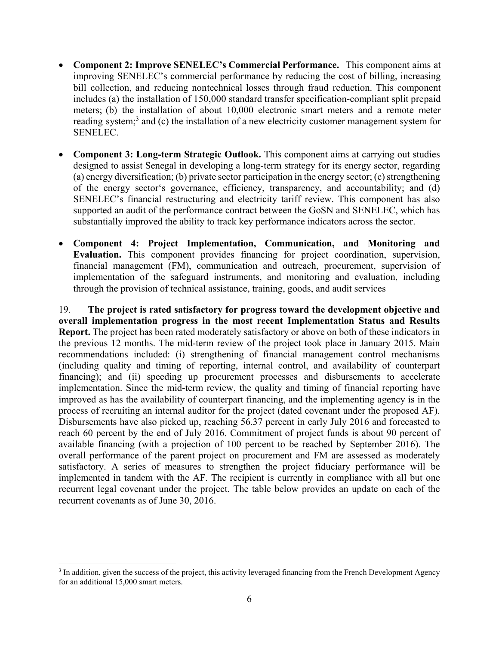- **Component 2: Improve SENELEC's Commercial Performance.** This component aims at improving SENELEC's commercial performance by reducing the cost of billing, increasing bill collection, and reducing nontechnical losses through fraud reduction. This component includes (a) the installation of 150,000 standard transfer specification-compliant split prepaid meters; (b) the installation of about 10,000 electronic smart meters and a remote meter reading system;<sup>3</sup> and (c) the installation of a new electricity customer management system for SENELEC.
- Component 3: Long-term Strategic Outlook. This component aims at carrying out studies designed to assist Senegal in developing a long-term strategy for its energy sector, regarding (a) energy diversification; (b) private sector participation in the energy sector; (c) strengthening of the energy sector's governance, efficiency, transparency, and accountability; and (d) SENELEC's financial restructuring and electricity tariff review. This component has also supported an audit of the performance contract between the GoSN and SENELEC, which has substantially improved the ability to track key performance indicators across the sector.
- **Component 4: Project Implementation, Communication, and Monitoring and Evaluation.** This component provides financing for project coordination, supervision, financial management (FM), communication and outreach, procurement, supervision of implementation of the safeguard instruments, and monitoring and evaluation, including through the provision of technical assistance, training, goods, and audit services

19. **The project is rated satisfactory for progress toward the development objective and overall implementation progress in the most recent Implementation Status and Results Report.** The project has been rated moderately satisfactory or above on both of these indicators in the previous 12 months. The mid-term review of the project took place in January 2015. Main recommendations included: (i) strengthening of financial management control mechanisms (including quality and timing of reporting, internal control, and availability of counterpart financing); and (ii) speeding up procurement processes and disbursements to accelerate implementation. Since the mid-term review, the quality and timing of financial reporting have improved as has the availability of counterpart financing, and the implementing agency is in the process of recruiting an internal auditor for the project (dated covenant under the proposed AF). Disbursements have also picked up, reaching 56.37 percent in early July 2016 and forecasted to reach 60 percent by the end of July 2016. Commitment of project funds is about 90 percent of available financing (with a projection of 100 percent to be reached by September 2016). The overall performance of the parent project on procurement and FM are assessed as moderately satisfactory. A series of measures to strengthen the project fiduciary performance will be implemented in tandem with the AF. The recipient is currently in compliance with all but one recurrent legal covenant under the project. The table below provides an update on each of the recurrent covenants as of June 30, 2016.

<sup>&</sup>lt;sup>3</sup> In addition, given the success of the project, this activity leveraged financing from the French Development Agency for an additional 15,000 smart meters.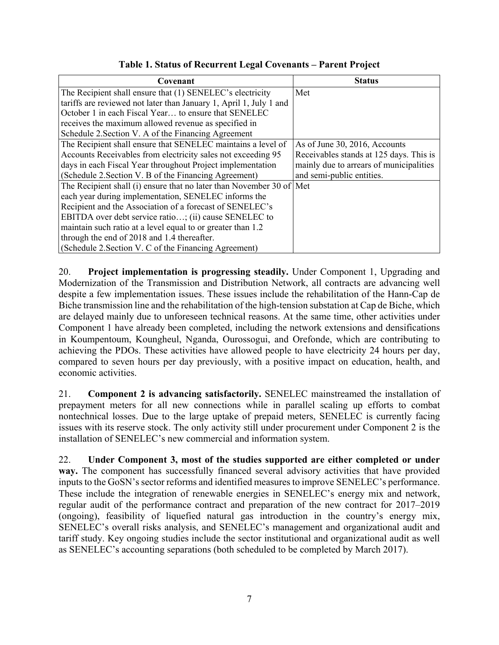| Covenant                                                             | <b>Status</b>                           |
|----------------------------------------------------------------------|-----------------------------------------|
| The Recipient shall ensure that (1) SENELEC's electricity            | Met                                     |
| tariffs are reviewed not later than January 1, April 1, July 1 and   |                                         |
| October 1 in each Fiscal Year to ensure that SENELEC                 |                                         |
| receives the maximum allowed revenue as specified in                 |                                         |
| Schedule 2. Section V. A of the Financing Agreement                  |                                         |
| The Recipient shall ensure that SENELEC maintains a level of         | As of June 30, 2016, Accounts           |
| Accounts Receivables from electricity sales not exceeding 95         | Receivables stands at 125 days. This is |
| days in each Fiscal Year throughout Project implementation           | mainly due to arrears of municipalities |
| (Schedule 2. Section V. B of the Financing Agreement)                | and semi-public entities.               |
| The Recipient shall (i) ensure that no later than November 30 of Met |                                         |
| each year during implementation, SENELEC informs the                 |                                         |
| Recipient and the Association of a forecast of SENELEC's             |                                         |
| EBITDA over debt service ratio; (ii) cause SENELEC to                |                                         |
| maintain such ratio at a level equal to or greater than 1.2          |                                         |
| through the end of 2018 and 1.4 thereafter.                          |                                         |
| (Schedule 2. Section V. C of the Financing Agreement)                |                                         |

**Table 1. Status of Recurrent Legal Covenants – Parent Project**

20. **Project implementation is progressing steadily.** Under Component 1, Upgrading and Modernization of the Transmission and Distribution Network, all contracts are advancing well despite a few implementation issues. These issues include the rehabilitation of the Hann-Cap de Biche transmission line and the rehabilitation of the high-tension substation at Cap de Biche, which are delayed mainly due to unforeseen technical reasons. At the same time, other activities under Component 1 have already been completed, including the network extensions and densifications in Koumpentoum, Koungheul, Nganda, Ourossogui, and Orefonde, which are contributing to achieving the PDOs. These activities have allowed people to have electricity 24 hours per day, compared to seven hours per day previously, with a positive impact on education, health, and economic activities.

21. **Component 2 is advancing satisfactorily.** SENELEC mainstreamed the installation of prepayment meters for all new connections while in parallel scaling up efforts to combat nontechnical losses. Due to the large uptake of prepaid meters, SENELEC is currently facing issues with its reserve stock. The only activity still under procurement under Component 2 is the installation of SENELEC's new commercial and information system.

22. **Under Component 3, most of the studies supported are either completed or under way.** The component has successfully financed several advisory activities that have provided inputs to the GoSN's sector reforms and identified measures to improve SENELEC's performance. These include the integration of renewable energies in SENELEC's energy mix and network, regular audit of the performance contract and preparation of the new contract for 2017–2019 (ongoing), feasibility of liquefied natural gas introduction in the country's energy mix, SENELEC's overall risks analysis, and SENELEC's management and organizational audit and tariff study. Key ongoing studies include the sector institutional and organizational audit as well as SENELEC's accounting separations (both scheduled to be completed by March 2017).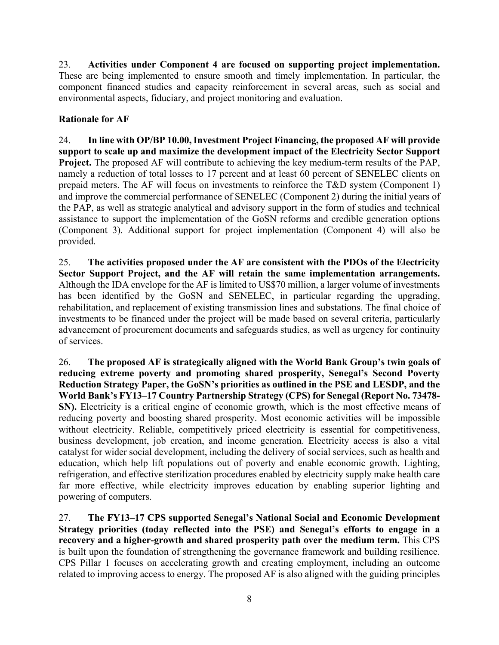23. **Activities under Component 4 are focused on supporting project implementation.** These are being implemented to ensure smooth and timely implementation. In particular, the component financed studies and capacity reinforcement in several areas, such as social and environmental aspects, fiduciary, and project monitoring and evaluation.

# **Rationale for AF**

24. **In line with OP/BP 10.00, Investment Project Financing, the proposed AF will provide support to scale up and maximize the development impact of the Electricity Sector Support Project.** The proposed AF will contribute to achieving the key medium-term results of the PAP, namely a reduction of total losses to 17 percent and at least 60 percent of SENELEC clients on prepaid meters. The AF will focus on investments to reinforce the T&D system (Component 1) and improve the commercial performance of SENELEC (Component 2) during the initial years of the PAP, as well as strategic analytical and advisory support in the form of studies and technical assistance to support the implementation of the GoSN reforms and credible generation options (Component 3). Additional support for project implementation (Component 4) will also be provided.

25. **The activities proposed under the AF are consistent with the PDOs of the Electricity Sector Support Project, and the AF will retain the same implementation arrangements.** Although the IDA envelope for the AF is limited to US\$70 million, a larger volume of investments has been identified by the GoSN and SENELEC, in particular regarding the upgrading, rehabilitation, and replacement of existing transmission lines and substations. The final choice of investments to be financed under the project will be made based on several criteria, particularly advancement of procurement documents and safeguards studies, as well as urgency for continuity of services.

26. **The proposed AF is strategically aligned with the World Bank Group's twin goals of reducing extreme poverty and promoting shared prosperity, Senegal's Second Poverty Reduction Strategy Paper, the GoSN's priorities as outlined in the PSE and LESDP, and the World Bank's FY13–17 Country Partnership Strategy (CPS) for Senegal (Report No. 73478- SN).** Electricity is a critical engine of economic growth, which is the most effective means of reducing poverty and boosting shared prosperity. Most economic activities will be impossible without electricity. Reliable, competitively priced electricity is essential for competitiveness, business development, job creation, and income generation. Electricity access is also a vital catalyst for wider social development, including the delivery of social services, such as health and education, which help lift populations out of poverty and enable economic growth. Lighting, refrigeration, and effective sterilization procedures enabled by electricity supply make health care far more effective, while electricity improves education by enabling superior lighting and powering of computers.

27. **The FY13–17 CPS supported Senegal's National Social and Economic Development Strategy priorities (today reflected into the PSE) and Senegal's efforts to engage in a recovery and a higher-growth and shared prosperity path over the medium term.** This CPS is built upon the foundation of strengthening the governance framework and building resilience. CPS Pillar 1 focuses on accelerating growth and creating employment, including an outcome related to improving access to energy. The proposed AF is also aligned with the guiding principles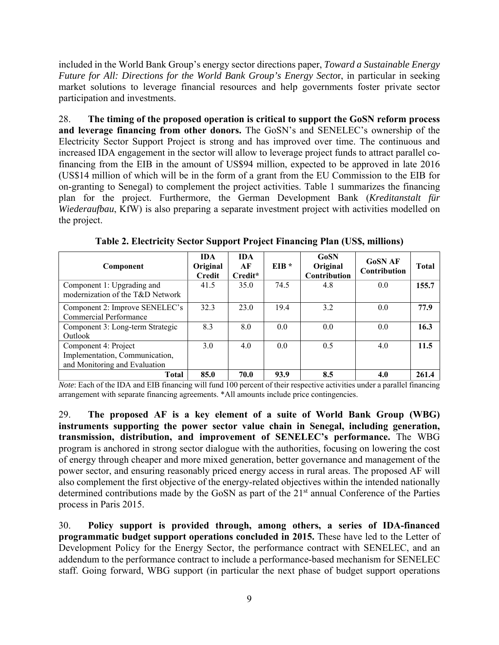included in the World Bank Group's energy sector directions paper, *Toward a Sustainable Energy Future for All: Directions for the World Bank Group's Energy Secto*r, in particular in seeking market solutions to leverage financial resources and help governments foster private sector participation and investments.

28. **The timing of the proposed operation is critical to support the GoSN reform process and leverage financing from other donors.** The GoSN's and SENELEC's ownership of the Electricity Sector Support Project is strong and has improved over time. The continuous and increased IDA engagement in the sector will allow to leverage project funds to attract parallel cofinancing from the EIB in the amount of US\$94 million, expected to be approved in late 2016 (US\$14 million of which will be in the form of a grant from the EU Commission to the EIB for on-granting to Senegal) to complement the project activities. Table 1 summarizes the financing plan for the project. Furthermore, the German Development Bank (*Kreditanstalt für Wiederaufbau*, KfW) is also preparing a separate investment project with activities modelled on the project.

| Component                                                                               | <b>IDA</b><br>Original<br>Credit | <b>IDA</b><br>АF<br>Credit* | $EIB*$ | <b>GoSN</b><br>Original<br>Contribution | <b>GoSN AF</b><br><b>Contribution</b> | <b>Total</b> |
|-----------------------------------------------------------------------------------------|----------------------------------|-----------------------------|--------|-----------------------------------------|---------------------------------------|--------------|
| Component 1: Upgrading and<br>modernization of the T&D Network                          | 41.5                             | 35.0                        | 74.5   | 4.8                                     | 0.0                                   | 155.7        |
| Component 2: Improve SENELEC's<br>Commercial Performance                                | 32.3                             | 23.0                        | 19.4   | 3.2                                     | 0.0                                   | 77.9         |
| Component 3: Long-term Strategic<br>Outlook                                             | 8.3                              | 8.0                         | 0.0    | 0.0                                     | 0.0                                   | 16.3         |
| Component 4: Project<br>Implementation, Communication,<br>and Monitoring and Evaluation | 3.0                              | 4.0                         | 0.0    | 0.5                                     | 4.0                                   | 11.5         |
| Total                                                                                   | 85.0                             | 70.0                        | 93.9   | 8.5                                     | 4.0                                   | 261.4        |

**Table 2. Electricity Sector Support Project Financing Plan (US\$, millions)** 

*Note*: Each of the IDA and EIB financing will fund 100 percent of their respective activities under a parallel financing arrangement with separate financing agreements. \*All amounts include price contingencies.

29. **The proposed AF is a key element of a suite of World Bank Group (WBG) instruments supporting the power sector value chain in Senegal, including generation, transmission, distribution, and improvement of SENELEC's performance.** The WBG program is anchored in strong sector dialogue with the authorities, focusing on lowering the cost of energy through cheaper and more mixed generation, better governance and management of the power sector, and ensuring reasonably priced energy access in rural areas. The proposed AF will also complement the first objective of the energy-related objectives within the intended nationally determined contributions made by the GoSN as part of the 21<sup>st</sup> annual Conference of the Parties process in Paris 2015.

30. **Policy support is provided through, among others, a series of IDA-financed programmatic budget support operations concluded in 2015.** These have led to the Letter of Development Policy for the Energy Sector, the performance contract with SENELEC, and an addendum to the performance contract to include a performance-based mechanism for SENELEC staff. Going forward, WBG support (in particular the next phase of budget support operations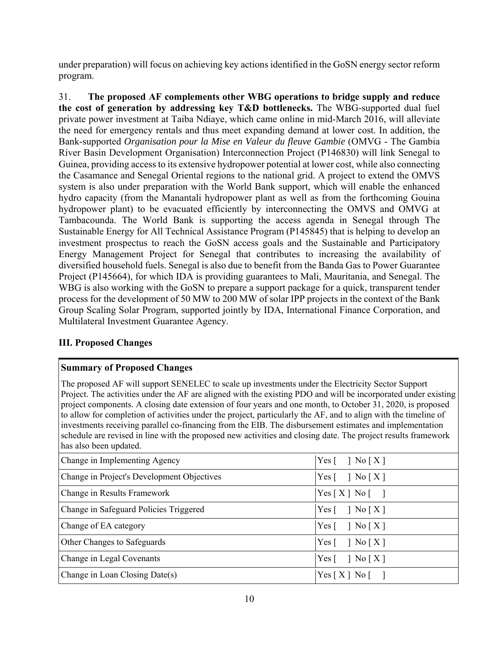under preparation) will focus on achieving key actions identified in the GoSN energy sector reform program.

31. **The proposed AF complements other WBG operations to bridge supply and reduce the cost of generation by addressing key T&D bottlenecks.** The WBG-supported dual fuel private power investment at Taiba Ndiaye, which came online in mid-March 2016, will alleviate the need for emergency rentals and thus meet expanding demand at lower cost. In addition, the Bank-supported *Organisation pour la Mise en Valeur du fleuve Gambie* (OMVG - The Gambia River Basin Development Organisation) Interconnection Project (P146830) will link Senegal to Guinea, providing access to its extensive hydropower potential at lower cost, while also connecting the Casamance and Senegal Oriental regions to the national grid. A project to extend the OMVS system is also under preparation with the World Bank support, which will enable the enhanced hydro capacity (from the Manantali hydropower plant as well as from the forthcoming Gouina hydropower plant) to be evacuated efficiently by interconnecting the OMVS and OMVG at Tambacounda. The World Bank is supporting the access agenda in Senegal through The Sustainable Energy for All Technical Assistance Program (P145845) that is helping to develop an investment prospectus to reach the GoSN access goals and the Sustainable and Participatory Energy Management Project for Senegal that contributes to increasing the availability of diversified household fuels. Senegal is also due to benefit from the Banda Gas to Power Guarantee Project (P145664), for which IDA is providing guarantees to Mali, Mauritania, and Senegal. The WBG is also working with the GoSN to prepare a support package for a quick, transparent tender process for the development of 50 MW to 200 MW of solar IPP projects in the context of the Bank Group Scaling Solar Program, supported jointly by IDA, International Finance Corporation, and Multilateral Investment Guarantee Agency.

# **III. Proposed Changes**

# **Summary of Proposed Changes**

The proposed AF will support SENELEC to scale up investments under the Electricity Sector Support Project. The activities under the AF are aligned with the existing PDO and will be incorporated under existing project components. A closing date extension of four years and one month, to October 31, 2020, is proposed to allow for completion of activities under the project, particularly the AF, and to align with the timeline of investments receiving parallel co-financing from the EIB. The disbursement estimates and implementation schedule are revised in line with the proposed new activities and closing date. The project results framework has also been updated.

| Change in Implementing Agency              | Yes $\lceil \quad \rceil$ No $\lceil X \rceil$   |
|--------------------------------------------|--------------------------------------------------|
| Change in Project's Development Objectives | Yes $\lceil \quad \rceil$ No $\lceil X \rceil$   |
| Change in Results Framework                | $Yes[X] No$ []                                   |
| Change in Safeguard Policies Triggered     | Yes $\lceil \quad \rceil$ No $\lceil X \rceil$   |
| Change of EA category                      | Yes $\lceil \ \cdot \rceil$ No $\lceil X \rceil$ |
| Other Changes to Safeguards                | Yes $\lceil \quad \rceil$ No $\lceil X \rceil$   |
| Change in Legal Covenants                  | Yes $\lceil \quad \rceil$ No $\lceil X \rceil$   |
| Change in Loan Closing Date(s)             | $Yes[X] No$ []                                   |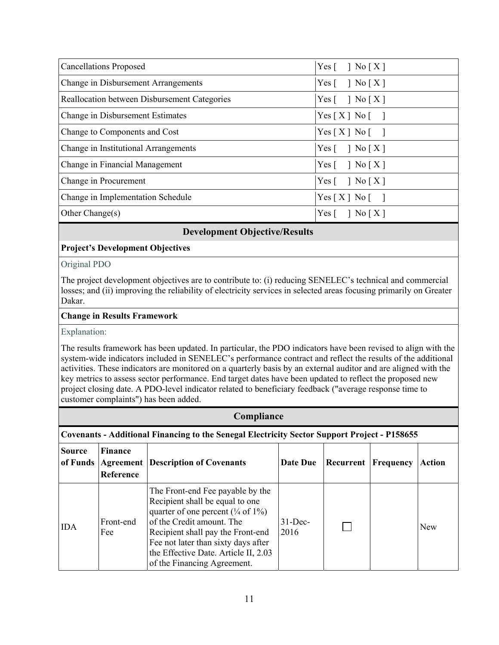| <b>Cancellations Proposed</b>                | Yes $\lceil \ \ \rceil$ No $\lceil X \rceil$   |
|----------------------------------------------|------------------------------------------------|
| Change in Disbursement Arrangements          | Yes $\lceil \ \ \rceil$ No $\lceil X \rceil$   |
| Reallocation between Disbursement Categories | Yes $\lceil \quad \rceil$ No $\lceil X \rceil$ |
| Change in Disbursement Estimates             | $Yes[X] No$ []                                 |
| Change to Components and Cost                | $Yes[X] No$ []                                 |
| Change in Institutional Arrangements         | Yes $\lceil \ \ \rceil$ No $\lceil X \rceil$   |
| Change in Financial Management               | Yes $\lceil \ \ \rceil$ No $\lceil X \rceil$   |
| Change in Procurement                        | Yes $\lceil \quad \rceil$ No $\lceil X \rceil$ |
| Change in Implementation Schedule            | $Yes[X] No$ []                                 |
| Other Change $(s)$                           | Yes $\lceil \quad \rceil$ No $\lceil X \rceil$ |

## **Development Objective/Results**

## **Project's Development Objectives**

Original PDO

The project development objectives are to contribute to: (i) reducing SENELEC's technical and commercial losses; and (ii) improving the reliability of electricity services in selected areas focusing primarily on Greater Dakar.

## **Change in Results Framework**

Explanation:

The results framework has been updated. In particular, the PDO indicators have been revised to align with the system-wide indicators included in SENELEC's performance contract and reflect the results of the additional activities. These indicators are monitored on a quarterly basis by an external auditor and are aligned with the key metrics to assess sector performance. End target dates have been updated to reflect the proposed new project closing date. A PDO-level indicator related to beneficiary feedback ("average response time to customer complaints") has been added.

|                           | Compliance                                                                                          |                                                                                                                                                                                                                                                                                                        |                    |           |                  |            |  |  |  |  |  |
|---------------------------|-----------------------------------------------------------------------------------------------------|--------------------------------------------------------------------------------------------------------------------------------------------------------------------------------------------------------------------------------------------------------------------------------------------------------|--------------------|-----------|------------------|------------|--|--|--|--|--|
|                           | <b>Covenants - Additional Financing to the Senegal Electricity Sector Support Project - P158655</b> |                                                                                                                                                                                                                                                                                                        |                    |           |                  |            |  |  |  |  |  |
| <b>Source</b><br>of Funds | <b>Finance</b><br>Agreement<br>Reference                                                            | <b>Description of Covenants</b>                                                                                                                                                                                                                                                                        | Date Due           | Recurrent | <b>Frequency</b> | Action     |  |  |  |  |  |
| <b>IDA</b>                | Front-end<br>Fee                                                                                    | The Front-end Fee payable by the<br>Recipient shall be equal to one<br>quarter of one percent $(\frac{1}{4}$ of $1\%)$<br>of the Credit amount. The<br>Recipient shall pay the Front-end<br>Fee not later than sixty days after<br>the Effective Date. Article II, 2.03<br>of the Financing Agreement. | $31$ -Dec-<br>2016 |           |                  | <b>New</b> |  |  |  |  |  |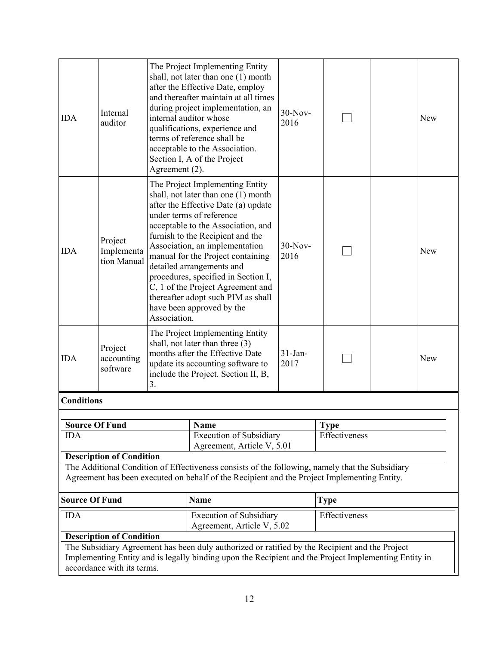| <b>IDA</b>                                          | Internal<br>auditor                  | Agreement (2). | The Project Implementing Entity<br>shall, not later than one (1) month<br>after the Effective Date, employ<br>and thereafter maintain at all times<br>during project implementation, an<br>internal auditor whose<br>qualifications, experience and<br>terms of reference shall be<br>acceptable to the Association.<br>Section I, A of the Project                                                                                                                    | $30-Nov-$<br>2016 |               |  | <b>New</b> |
|-----------------------------------------------------|--------------------------------------|----------------|------------------------------------------------------------------------------------------------------------------------------------------------------------------------------------------------------------------------------------------------------------------------------------------------------------------------------------------------------------------------------------------------------------------------------------------------------------------------|-------------------|---------------|--|------------|
| <b>IDA</b>                                          | Project<br>Implementa<br>tion Manual | Association.   | The Project Implementing Entity<br>shall, not later than one (1) month<br>after the Effective Date (a) update<br>under terms of reference<br>acceptable to the Association, and<br>furnish to the Recipient and the<br>Association, an implementation<br>manual for the Project containing<br>detailed arrangements and<br>procedures, specified in Section I,<br>C, 1 of the Project Agreement and<br>thereafter adopt such PIM as shall<br>have been approved by the | $30-Nov-$<br>2016 |               |  | <b>New</b> |
| <b>IDA</b>                                          | Project<br>accounting<br>software    | 3.             | The Project Implementing Entity<br>shall, not later than three (3)<br>months after the Effective Date<br>update its accounting software to<br>include the Project. Section II, B,                                                                                                                                                                                                                                                                                      | $31-Jan-$<br>2017 |               |  | <b>New</b> |
| <b>Conditions</b>                                   |                                      |                |                                                                                                                                                                                                                                                                                                                                                                                                                                                                        |                   |               |  |            |
| <b>Source Of Fund</b>                               |                                      |                | Name                                                                                                                                                                                                                                                                                                                                                                                                                                                                   |                   | <b>Type</b>   |  |            |
| <b>IDA</b>                                          |                                      |                | <b>Execution of Subsidiary</b><br>Agreement, Article V, 5.01                                                                                                                                                                                                                                                                                                                                                                                                           |                   | Effectiveness |  |            |
|                                                     | <b>Description of Condition</b>      |                | The Additional Condition of Effectiveness consists of the following, namely that the Subsidiary<br>Agreement has been executed on behalf of the Recipient and the Project Implementing Entity.                                                                                                                                                                                                                                                                         |                   |               |  |            |
| <b>Source Of Fund</b><br><b>Name</b><br><b>Type</b> |                                      |                |                                                                                                                                                                                                                                                                                                                                                                                                                                                                        |                   |               |  |            |
| <b>IDA</b>                                          |                                      |                | <b>Execution of Subsidiary</b><br>Agreement, Article V, 5.02                                                                                                                                                                                                                                                                                                                                                                                                           |                   | Effectiveness |  |            |
|                                                     | <b>Description of Condition</b>      |                |                                                                                                                                                                                                                                                                                                                                                                                                                                                                        |                   |               |  |            |
|                                                     | accordance with its terms.           |                | The Subsidiary Agreement has been duly authorized or ratified by the Recipient and the Project<br>Implementing Entity and is legally binding upon the Recipient and the Project Implementing Entity in                                                                                                                                                                                                                                                                 |                   |               |  |            |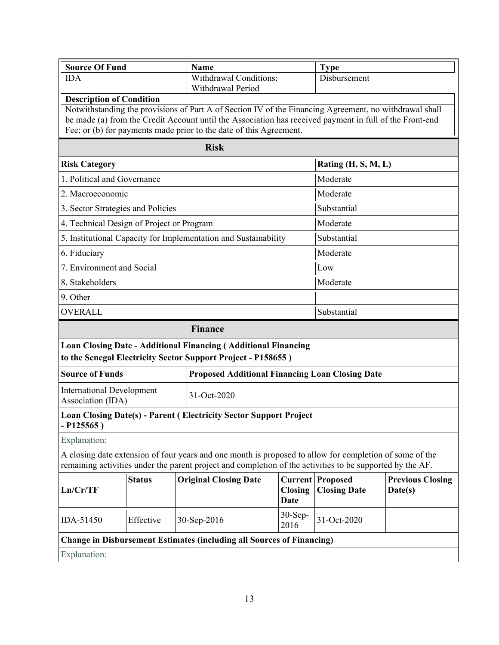| <b>Source Of Fund</b>                                 |               | Name                                                                                                                                                                                                                                                                                    |                               | <b>Type</b>                                    |                                    |  |
|-------------------------------------------------------|---------------|-----------------------------------------------------------------------------------------------------------------------------------------------------------------------------------------------------------------------------------------------------------------------------------------|-------------------------------|------------------------------------------------|------------------------------------|--|
| <b>IDA</b>                                            |               | Withdrawal Conditions;<br>Withdrawal Period                                                                                                                                                                                                                                             |                               | Disbursement                                   |                                    |  |
| <b>Description of Condition</b>                       |               |                                                                                                                                                                                                                                                                                         |                               |                                                |                                    |  |
|                                                       |               | Notwithstanding the provisions of Part A of Section IV of the Financing Agreement, no withdrawal shall<br>be made (a) from the Credit Account until the Association has received payment in full of the Front-end<br>Fee; or (b) for payments made prior to the date of this Agreement. |                               |                                                |                                    |  |
|                                                       |               | <b>Risk</b>                                                                                                                                                                                                                                                                             |                               |                                                |                                    |  |
| <b>Risk Category</b>                                  |               |                                                                                                                                                                                                                                                                                         |                               | Rating (H, S, M, L)                            |                                    |  |
| 1. Political and Governance                           |               |                                                                                                                                                                                                                                                                                         |                               | Moderate                                       |                                    |  |
| 2. Macroeconomic                                      |               |                                                                                                                                                                                                                                                                                         |                               | Moderate                                       |                                    |  |
| 3. Sector Strategies and Policies                     |               |                                                                                                                                                                                                                                                                                         |                               | Substantial                                    |                                    |  |
| 4. Technical Design of Project or Program             |               |                                                                                                                                                                                                                                                                                         |                               | Moderate                                       |                                    |  |
|                                                       |               | 5. Institutional Capacity for Implementation and Sustainability                                                                                                                                                                                                                         |                               | Substantial                                    |                                    |  |
| 6. Fiduciary                                          |               |                                                                                                                                                                                                                                                                                         |                               | Moderate                                       |                                    |  |
| 7. Environment and Social                             |               |                                                                                                                                                                                                                                                                                         |                               | Low                                            |                                    |  |
| 8. Stakeholders                                       |               |                                                                                                                                                                                                                                                                                         |                               | Moderate                                       |                                    |  |
| 9. Other                                              |               |                                                                                                                                                                                                                                                                                         |                               |                                                |                                    |  |
| OVERALL                                               |               |                                                                                                                                                                                                                                                                                         |                               | Substantial                                    |                                    |  |
|                                                       |               | <b>Finance</b>                                                                                                                                                                                                                                                                          |                               |                                                |                                    |  |
|                                                       |               | <b>Loan Closing Date - Additional Financing (Additional Financing</b><br>to the Senegal Electricity Sector Support Project - P158655)                                                                                                                                                   |                               |                                                |                                    |  |
| <b>Source of Funds</b>                                |               | <b>Proposed Additional Financing Loan Closing Date</b>                                                                                                                                                                                                                                  |                               |                                                |                                    |  |
| <b>International Development</b><br>Association (IDA) |               | 31-Oct-2020                                                                                                                                                                                                                                                                             |                               |                                                |                                    |  |
| $-$ P125565)                                          |               | Loan Closing Date(s) - Parent (Electricity Sector Support Project                                                                                                                                                                                                                       |                               |                                                |                                    |  |
| Explanation:                                          |               |                                                                                                                                                                                                                                                                                         |                               |                                                |                                    |  |
|                                                       |               | A closing date extension of four years and one month is proposed to allow for completion of some of the<br>remaining activities under the parent project and completion of the activities to be supported by the AF.                                                                    |                               |                                                |                                    |  |
| Ln/Cr/TF                                              | <b>Status</b> | <b>Original Closing Date</b>                                                                                                                                                                                                                                                            | <b>Closing</b><br><b>Date</b> | <b>Current Proposed</b><br><b>Closing Date</b> | <b>Previous Closing</b><br>Date(s) |  |
| IDA-51450                                             | Effective     | 30-Sep-2016                                                                                                                                                                                                                                                                             | 30-Sep-<br>2016               | 31-Oct-2020                                    |                                    |  |
|                                                       |               | <b>Change in Disbursement Estimates (including all Sources of Financing)</b>                                                                                                                                                                                                            |                               |                                                |                                    |  |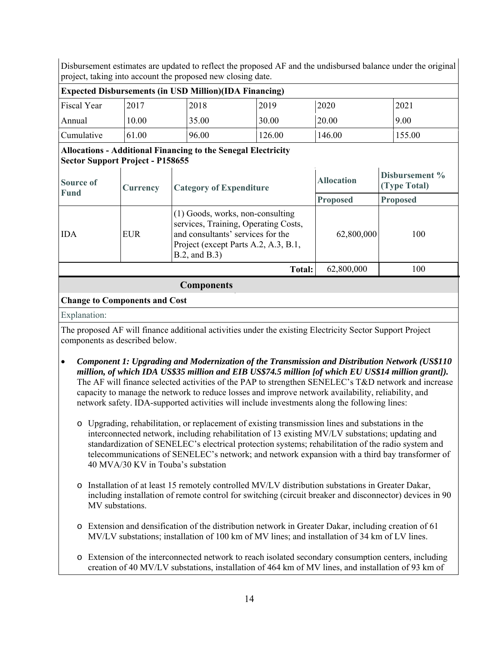Disbursement estimates are updated to reflect the proposed AF and the undisbursed balance under the original project, taking into account the proposed new closing date.

| <b>Expected Disbursements (in USD Million)</b> (IDA Financing) |       |       |        |        |        |  |  |  |
|----------------------------------------------------------------|-------|-------|--------|--------|--------|--|--|--|
| <b>Fiscal Year</b>                                             | 2017  | 2018  | 2019   | 2020   | 2021   |  |  |  |
| Annual                                                         | 10.00 | 35.00 | 30.00  | 20.00  | 9.00   |  |  |  |
| Cumulative                                                     | 61.00 | 96.00 | 126.00 | 146.00 | 155.00 |  |  |  |

#### **Allocations - Additional Financing to the Senegal Electricity Sector Support Project - P158655**

| <b>Source of</b><br><b>Fund</b> | Currency   | <b>Category of Expenditure</b>                                                                                                                                                 | <b>Allocation</b> | Disbursement %<br>(Type Total) |
|---------------------------------|------------|--------------------------------------------------------------------------------------------------------------------------------------------------------------------------------|-------------------|--------------------------------|
|                                 |            |                                                                                                                                                                                | <b>Proposed</b>   | <b>Proposed</b>                |
| <b>IDA</b>                      | <b>EUR</b> | $(1)$ Goods, works, non-consulting<br>services, Training, Operating Costs,<br>and consultants' services for the<br>Project (except Parts A.2, A.3, B.1,<br>$B.2$ , and $B.3$ ) | 62,800,000        | 100                            |
|                                 |            | Total:                                                                                                                                                                         | 62,800,000        | 100                            |
|                                 |            | $\sim$                                                                                                                                                                         |                   |                                |

#### **Components**

### **Change to Components and Cost**

#### Explanation:

The proposed AF will finance additional activities under the existing Electricity Sector Support Project components as described below.

- *Component 1: Upgrading and Modernization of the Transmission and Distribution Network (US\$110 million, of which IDA US\$35 million and EIB US\$74.5 million [of which EU US\$14 million grant]).* The AF will finance selected activities of the PAP to strengthen SENELEC's T&D network and increase capacity to manage the network to reduce losses and improve network availability, reliability, and network safety. IDA-supported activities will include investments along the following lines:
	- o Upgrading, rehabilitation, or replacement of existing transmission lines and substations in the interconnected network, including rehabilitation of 13 existing MV/LV substations; updating and standardization of SENELEC's electrical protection systems; rehabilitation of the radio system and telecommunications of SENELEC's network; and network expansion with a third bay transformer of 40 MVA/30 KV in Touba's substation
	- o Installation of at least 15 remotely controlled MV/LV distribution substations in Greater Dakar, including installation of remote control for switching (circuit breaker and disconnector) devices in 90 MV substations.
	- o Extension and densification of the distribution network in Greater Dakar, including creation of 61 MV/LV substations; installation of 100 km of MV lines; and installation of 34 km of LV lines.
	- o Extension of the interconnected network to reach isolated secondary consumption centers, including creation of 40 MV/LV substations, installation of 464 km of MV lines, and installation of 93 km of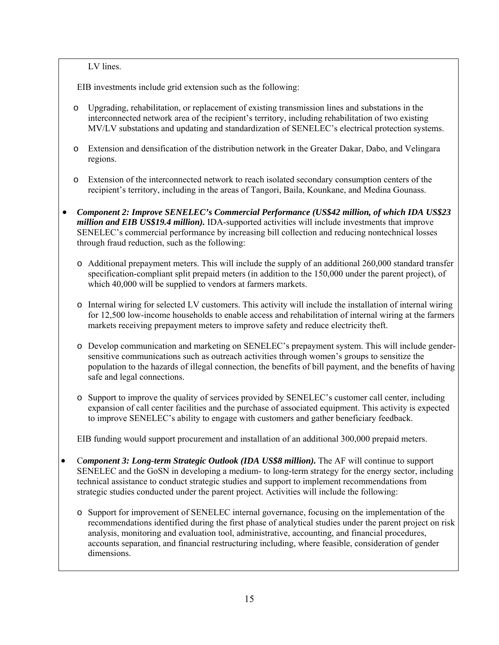LV lines.

EIB investments include grid extension such as the following:

- o Upgrading, rehabilitation, or replacement of existing transmission lines and substations in the interconnected network area of the recipient's territory, including rehabilitation of two existing MV/LV substations and updating and standardization of SENELEC's electrical protection systems.
- o Extension and densification of the distribution network in the Greater Dakar, Dabo, and Velingara regions.
- o Extension of the interconnected network to reach isolated secondary consumption centers of the recipient's territory, including in the areas of Tangori, Baila, Kounkane, and Medina Gounass.
- *Component 2: Improve SENELEC's Commercial Performance (US\$42 million, of which IDA US\$23 million and EIB US\$19.4 million).* IDA-supported activities will include investments that improve SENELEC's commercial performance by increasing bill collection and reducing nontechnical losses through fraud reduction, such as the following:
	- o Additional prepayment meters. This will include the supply of an additional 260,000 standard transfer specification-compliant split prepaid meters (in addition to the 150,000 under the parent project), of which 40,000 will be supplied to vendors at farmers markets.
	- o Internal wiring for selected LV customers. This activity will include the installation of internal wiring for 12,500 low-income households to enable access and rehabilitation of internal wiring at the farmers markets receiving prepayment meters to improve safety and reduce electricity theft.
	- o Develop communication and marketing on SENELEC's prepayment system. This will include gendersensitive communications such as outreach activities through women's groups to sensitize the population to the hazards of illegal connection, the benefits of bill payment, and the benefits of having safe and legal connections.
	- o Support to improve the quality of services provided by SENELEC's customer call center, including expansion of call center facilities and the purchase of associated equipment. This activity is expected to improve SENELEC's ability to engage with customers and gather beneficiary feedback.

EIB funding would support procurement and installation of an additional 300,000 prepaid meters.

- Component 3: Long-term Strategic Outlook (IDA US\$8 million). The AF will continue to support SENELEC and the GoSN in developing a medium- to long-term strategy for the energy sector, including technical assistance to conduct strategic studies and support to implement recommendations from strategic studies conducted under the parent project. Activities will include the following:
	- o Support for improvement of SENELEC internal governance, focusing on the implementation of the recommendations identified during the first phase of analytical studies under the parent project on risk analysis, monitoring and evaluation tool, administrative, accounting, and financial procedures, accounts separation, and financial restructuring including, where feasible, consideration of gender dimensions.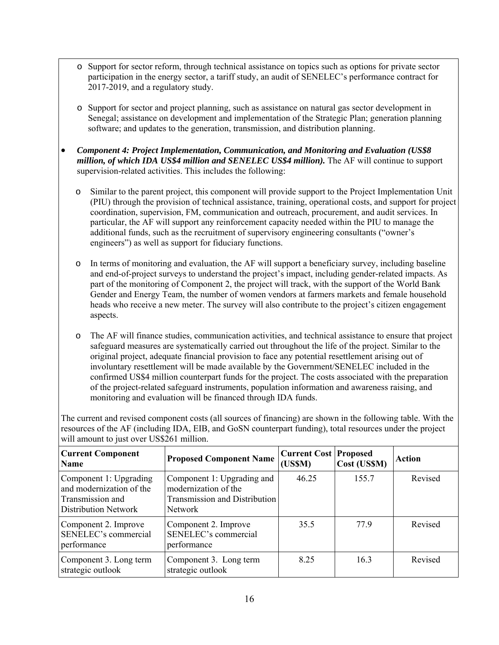- o Support for sector reform, through technical assistance on topics such as options for private sector participation in the energy sector, a tariff study, an audit of SENELEC's performance contract for 2017-2019, and a regulatory study.
- o Support for sector and project planning, such as assistance on natural gas sector development in Senegal; assistance on development and implementation of the Strategic Plan; generation planning software; and updates to the generation, transmission, and distribution planning.
- *Component 4: Project Implementation, Communication, and Monitoring and Evaluation (US\$8 million, of which IDA US\$4 million and SENELEC US\$4 million).* The AF will continue to support supervision-related activities. This includes the following:
	- o Similar to the parent project, this component will provide support to the Project Implementation Unit (PIU) through the provision of technical assistance, training, operational costs, and support for project coordination, supervision, FM, communication and outreach, procurement, and audit services. In particular, the AF will support any reinforcement capacity needed within the PIU to manage the additional funds, such as the recruitment of supervisory engineering consultants ("owner's engineers") as well as support for fiduciary functions.
	- o In terms of monitoring and evaluation, the AF will support a beneficiary survey, including baseline and end-of-project surveys to understand the project's impact, including gender-related impacts. As part of the monitoring of Component 2, the project will track, with the support of the World Bank Gender and Energy Team, the number of women vendors at farmers markets and female household heads who receive a new meter. The survey will also contribute to the project's citizen engagement aspects.
	- o The AF will finance studies, communication activities, and technical assistance to ensure that project safeguard measures are systematically carried out throughout the life of the project. Similar to the original project, adequate financial provision to face any potential resettlement arising out of involuntary resettlement will be made available by the Government/SENELEC included in the confirmed US\$4 million counterpart funds for the project. The costs associated with the preparation of the project-related safeguard instruments, population information and awareness raising, and monitoring and evaluation will be financed through IDA funds.

The current and revised component costs (all sources of financing) are shown in the following table. With the resources of the AF (including IDA, EIB, and GoSN counterpart funding), total resources under the project will amount to just over US\$261 million.

| <b>Current Component</b><br><b>Name</b>                                                               | <b>Proposed Component Name</b>                                                                        | <b>Current Cost   Proposed</b><br>(USSM) | Cost (US\$M) | <b>Action</b> |
|-------------------------------------------------------------------------------------------------------|-------------------------------------------------------------------------------------------------------|------------------------------------------|--------------|---------------|
| Component 1: Upgrading<br>and modernization of the<br>Transmission and<br><b>Distribution Network</b> | Component 1: Upgrading and<br>modernization of the<br><b>Transmission and Distribution</b><br>Network | 46.25                                    | 155.7        | Revised       |
| Component 2. Improve<br>SENELEC's commercial<br>performance                                           | Component 2. Improve<br>SENELEC's commercial<br>performance                                           | 35.5                                     | 779          | Revised       |
| Component 3. Long term<br>strategic outlook                                                           | Component 3. Long term<br>strategic outlook                                                           | 8 2 5                                    | 16.3         | Revised       |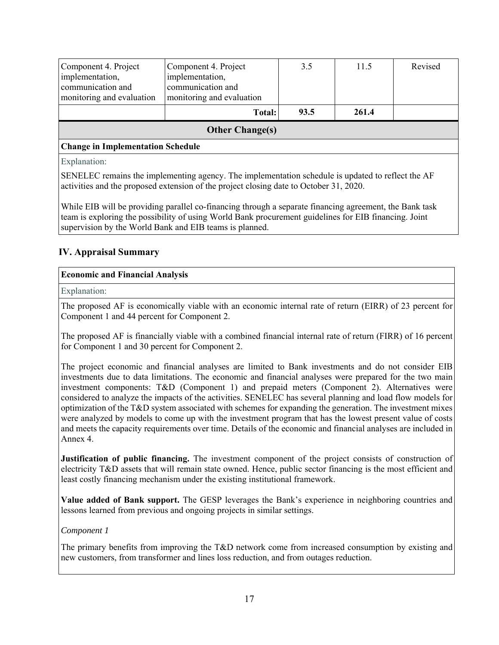| Component 4. Project<br>implementation,<br>communication and<br>monitoring and evaluation | Component 4. Project<br>implementation,<br>communication and<br>monitoring and evaluation | 3.5  | 11.5  | Revised |  |  |  |  |
|-------------------------------------------------------------------------------------------|-------------------------------------------------------------------------------------------|------|-------|---------|--|--|--|--|
|                                                                                           | <b>Total:</b>                                                                             | 93.5 | 261.4 |         |  |  |  |  |
| <b>Other Change(s)</b>                                                                    |                                                                                           |      |       |         |  |  |  |  |
| <b>Change in Implementation Schedule</b>                                                  |                                                                                           |      |       |         |  |  |  |  |

Explanation:

SENELEC remains the implementing agency. The implementation schedule is updated to reflect the AF activities and the proposed extension of the project closing date to October 31, 2020.

While EIB will be providing parallel co-financing through a separate financing agreement, the Bank task team is exploring the possibility of using World Bank procurement guidelines for EIB financing. Joint supervision by the World Bank and EIB teams is planned.

# **IV. Appraisal Summary**

## **Economic and Financial Analysis**

Explanation:

The proposed AF is economically viable with an economic internal rate of return (EIRR) of 23 percent for Component 1 and 44 percent for Component 2.

The proposed AF is financially viable with a combined financial internal rate of return (FIRR) of 16 percent for Component 1 and 30 percent for Component 2.

The project economic and financial analyses are limited to Bank investments and do not consider EIB investments due to data limitations. The economic and financial analyses were prepared for the two main investment components: T&D (Component 1) and prepaid meters (Component 2). Alternatives were considered to analyze the impacts of the activities. SENELEC has several planning and load flow models for optimization of the T&D system associated with schemes for expanding the generation. The investment mixes were analyzed by models to come up with the investment program that has the lowest present value of costs and meets the capacity requirements over time. Details of the economic and financial analyses are included in Annex 4.

**Justification of public financing.** The investment component of the project consists of construction of electricity T&D assets that will remain state owned. Hence, public sector financing is the most efficient and least costly financing mechanism under the existing institutional framework.

**Value added of Bank support.** The GESP leverages the Bank's experience in neighboring countries and lessons learned from previous and ongoing projects in similar settings.

*Component 1* 

The primary benefits from improving the T&D network come from increased consumption by existing and new customers, from transformer and lines loss reduction, and from outages reduction.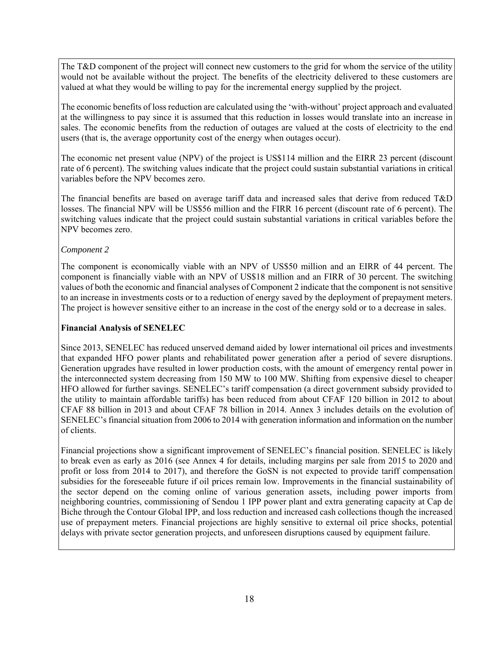The T&D component of the project will connect new customers to the grid for whom the service of the utility would not be available without the project. The benefits of the electricity delivered to these customers are valued at what they would be willing to pay for the incremental energy supplied by the project.

The economic benefits of loss reduction are calculated using the 'with-without' project approach and evaluated at the willingness to pay since it is assumed that this reduction in losses would translate into an increase in sales. The economic benefits from the reduction of outages are valued at the costs of electricity to the end users (that is, the average opportunity cost of the energy when outages occur).

The economic net present value (NPV) of the project is US\$114 million and the EIRR 23 percent (discount rate of 6 percent). The switching values indicate that the project could sustain substantial variations in critical variables before the NPV becomes zero.

The financial benefits are based on average tariff data and increased sales that derive from reduced T&D losses. The financial NPV will be US\$56 million and the FIRR 16 percent (discount rate of 6 percent). The switching values indicate that the project could sustain substantial variations in critical variables before the NPV becomes zero.

### *Component 2*

The component is economically viable with an NPV of US\$50 million and an EIRR of 44 percent. The component is financially viable with an NPV of US\$18 million and an FIRR of 30 percent. The switching values of both the economic and financial analyses of Component 2 indicate that the component is not sensitive to an increase in investments costs or to a reduction of energy saved by the deployment of prepayment meters. The project is however sensitive either to an increase in the cost of the energy sold or to a decrease in sales.

#### **Financial Analysis of SENELEC**

Since 2013, SENELEC has reduced unserved demand aided by lower international oil prices and investments that expanded HFO power plants and rehabilitated power generation after a period of severe disruptions. Generation upgrades have resulted in lower production costs, with the amount of emergency rental power in the interconnected system decreasing from 150 MW to 100 MW. Shifting from expensive diesel to cheaper HFO allowed for further savings. SENELEC's tariff compensation (a direct government subsidy provided to the utility to maintain affordable tariffs) has been reduced from about CFAF 120 billion in 2012 to about CFAF 88 billion in 2013 and about CFAF 78 billion in 2014. Annex 3 includes details on the evolution of SENELEC's financial situation from 2006 to 2014 with generation information and information on the number of clients.

Financial projections show a significant improvement of SENELEC's financial position. SENELEC is likely to break even as early as 2016 (see Annex 4 for details, including margins per sale from 2015 to 2020 and profit or loss from 2014 to 2017), and therefore the GoSN is not expected to provide tariff compensation subsidies for the foreseeable future if oil prices remain low. Improvements in the financial sustainability of the sector depend on the coming online of various generation assets, including power imports from neighboring countries, commissioning of Sendou 1 IPP power plant and extra generating capacity at Cap de Biche through the Contour Global IPP, and loss reduction and increased cash collections though the increased use of prepayment meters. Financial projections are highly sensitive to external oil price shocks, potential delays with private sector generation projects, and unforeseen disruptions caused by equipment failure.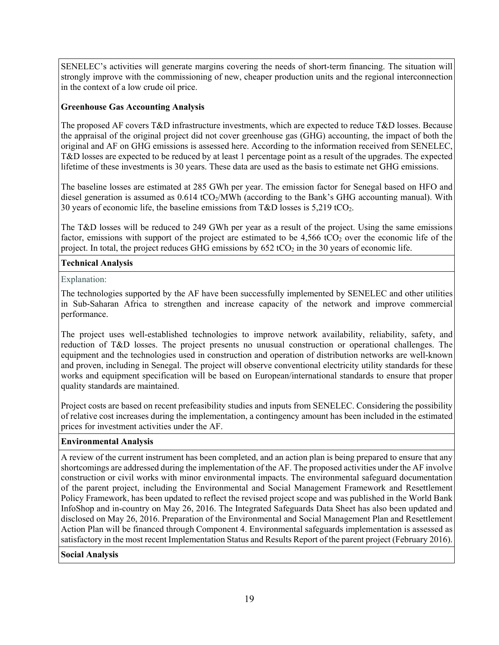SENELEC's activities will generate margins covering the needs of short-term financing. The situation will strongly improve with the commissioning of new, cheaper production units and the regional interconnection in the context of a low crude oil price.

### **Greenhouse Gas Accounting Analysis**

The proposed AF covers T&D infrastructure investments, which are expected to reduce T&D losses. Because the appraisal of the original project did not cover greenhouse gas (GHG) accounting, the impact of both the original and AF on GHG emissions is assessed here. According to the information received from SENELEC, T&D losses are expected to be reduced by at least 1 percentage point as a result of the upgrades. The expected lifetime of these investments is 30 years. These data are used as the basis to estimate net GHG emissions.

The baseline losses are estimated at 285 GWh per year. The emission factor for Senegal based on HFO and diesel generation is assumed as  $0.614 \text{ tCO}_2/\text{MWh}$  (according to the Bank's GHG accounting manual). With 30 years of economic life, the baseline emissions from  $T\&D$  losses is 5,219 tCO<sub>2</sub>.

The T&D losses will be reduced to 249 GWh per year as a result of the project. Using the same emissions factor, emissions with support of the project are estimated to be  $4,566$  tCO<sub>2</sub> over the economic life of the project. In total, the project reduces GHG emissions by  $652 \text{ tCO}_2$  in the 30 years of economic life.

### **Technical Analysis**

Explanation:

The technologies supported by the AF have been successfully implemented by SENELEC and other utilities in Sub-Saharan Africa to strengthen and increase capacity of the network and improve commercial performance.

The project uses well-established technologies to improve network availability, reliability, safety, and reduction of T&D losses. The project presents no unusual construction or operational challenges. The equipment and the technologies used in construction and operation of distribution networks are well-known and proven, including in Senegal. The project will observe conventional electricity utility standards for these works and equipment specification will be based on European/international standards to ensure that proper quality standards are maintained.

Project costs are based on recent prefeasibility studies and inputs from SENELEC. Considering the possibility of relative cost increases during the implementation, a contingency amount has been included in the estimated prices for investment activities under the AF.

## **Environmental Analysis**

A review of the current instrument has been completed, and an action plan is being prepared to ensure that any shortcomings are addressed during the implementation of the AF. The proposed activities under the AF involve construction or civil works with minor environmental impacts. The environmental safeguard documentation of the parent project, including the Environmental and Social Management Framework and Resettlement Policy Framework, has been updated to reflect the revised project scope and was published in the World Bank InfoShop and in-country on May 26, 2016. The Integrated Safeguards Data Sheet has also been updated and disclosed on May 26, 2016. Preparation of the Environmental and Social Management Plan and Resettlement Action Plan will be financed through Component 4. Environmental safeguards implementation is assessed as satisfactory in the most recent Implementation Status and Results Report of the parent project (February 2016).

#### **Social Analysis**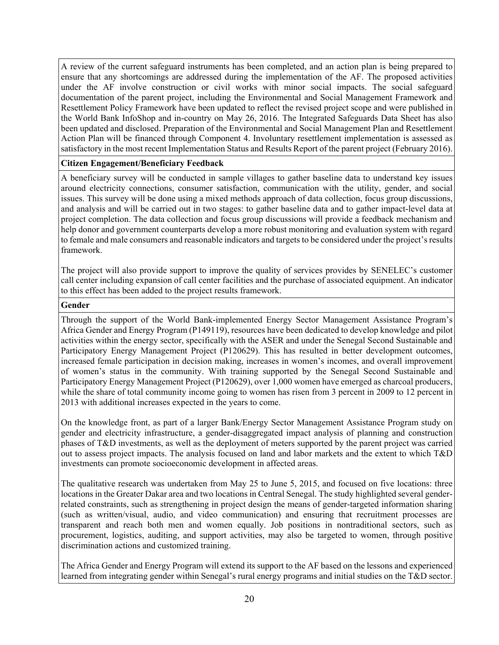A review of the current safeguard instruments has been completed, and an action plan is being prepared to ensure that any shortcomings are addressed during the implementation of the AF. The proposed activities under the AF involve construction or civil works with minor social impacts. The social safeguard documentation of the parent project, including the Environmental and Social Management Framework and Resettlement Policy Framework have been updated to reflect the revised project scope and were published in the World Bank InfoShop and in-country on May 26, 2016. The Integrated Safeguards Data Sheet has also been updated and disclosed. Preparation of the Environmental and Social Management Plan and Resettlement Action Plan will be financed through Component 4. Involuntary resettlement implementation is assessed as satisfactory in the most recent Implementation Status and Results Report of the parent project (February 2016).

#### **Citizen Engagement/Beneficiary Feedback**

A beneficiary survey will be conducted in sample villages to gather baseline data to understand key issues around electricity connections, consumer satisfaction, communication with the utility, gender, and social issues. This survey will be done using a mixed methods approach of data collection, focus group discussions, and analysis and will be carried out in two stages: to gather baseline data and to gather impact-level data at project completion. The data collection and focus group discussions will provide a feedback mechanism and help donor and government counterparts develop a more robust monitoring and evaluation system with regard to female and male consumers and reasonable indicators and targets to be considered under the project's results framework.

The project will also provide support to improve the quality of services provides by SENELEC's customer call center including expansion of call center facilities and the purchase of associated equipment. An indicator to this effect has been added to the project results framework.

#### **Gender**

Through the support of the World Bank-implemented Energy Sector Management Assistance Program's Africa Gender and Energy Program (P149119), resources have been dedicated to develop knowledge and pilot activities within the energy sector, specifically with the ASER and under the Senegal Second Sustainable and Participatory Energy Management Project (P120629). This has resulted in better development outcomes, increased female participation in decision making, increases in women's incomes, and overall improvement of women's status in the community. With training supported by the Senegal Second Sustainable and Participatory Energy Management Project (P120629), over 1,000 women have emerged as charcoal producers, while the share of total community income going to women has risen from 3 percent in 2009 to 12 percent in 2013 with additional increases expected in the years to come.

On the knowledge front, as part of a larger Bank/Energy Sector Management Assistance Program study on gender and electricity infrastructure, a gender-disaggregated impact analysis of planning and construction phases of T&D investments, as well as the deployment of meters supported by the parent project was carried out to assess project impacts. The analysis focused on land and labor markets and the extent to which T&D investments can promote socioeconomic development in affected areas.

The qualitative research was undertaken from May 25 to June 5, 2015, and focused on five locations: three locations in the Greater Dakar area and two locations in Central Senegal. The study highlighted several genderrelated constraints, such as strengthening in project design the means of gender-targeted information sharing (such as written/visual, audio, and video communication) and ensuring that recruitment processes are transparent and reach both men and women equally. Job positions in nontraditional sectors, such as procurement, logistics, auditing, and support activities, may also be targeted to women, through positive discrimination actions and customized training.

The Africa Gender and Energy Program will extend its support to the AF based on the lessons and experienced learned from integrating gender within Senegal's rural energy programs and initial studies on the T&D sector.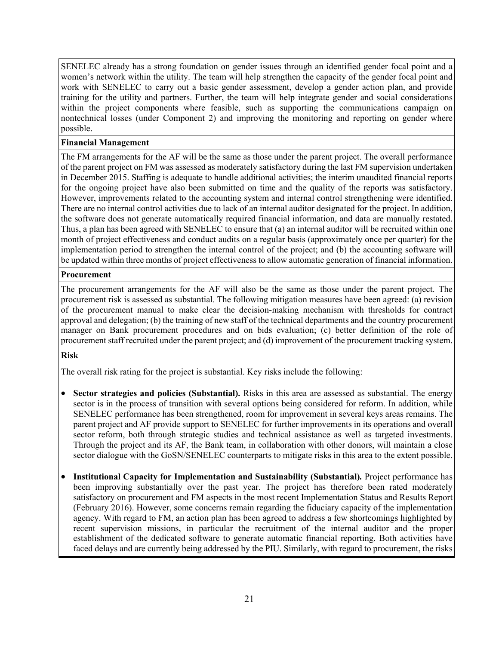SENELEC already has a strong foundation on gender issues through an identified gender focal point and a women's network within the utility. The team will help strengthen the capacity of the gender focal point and work with SENELEC to carry out a basic gender assessment, develop a gender action plan, and provide training for the utility and partners. Further, the team will help integrate gender and social considerations within the project components where feasible, such as supporting the communications campaign on nontechnical losses (under Component 2) and improving the monitoring and reporting on gender where possible.

#### **Financial Management**

The FM arrangements for the AF will be the same as those under the parent project. The overall performance of the parent project on FM was assessed as moderately satisfactory during the last FM supervision undertaken in December 2015. Staffing is adequate to handle additional activities; the interim unaudited financial reports for the ongoing project have also been submitted on time and the quality of the reports was satisfactory. However, improvements related to the accounting system and internal control strengthening were identified. There are no internal control activities due to lack of an internal auditor designated for the project. In addition, the software does not generate automatically required financial information, and data are manually restated. Thus, a plan has been agreed with SENELEC to ensure that (a) an internal auditor will be recruited within one month of project effectiveness and conduct audits on a regular basis (approximately once per quarter) for the implementation period to strengthen the internal control of the project; and (b) the accounting software will be updated within three months of project effectiveness to allow automatic generation of financial information.

#### **Procurement**

The procurement arrangements for the AF will also be the same as those under the parent project. The procurement risk is assessed as substantial. The following mitigation measures have been agreed: (a) revision of the procurement manual to make clear the decision-making mechanism with thresholds for contract approval and delegation; (b) the training of new staff of the technical departments and the country procurement manager on Bank procurement procedures and on bids evaluation; (c) better definition of the role of procurement staff recruited under the parent project; and (d) improvement of the procurement tracking system.

#### **Risk**

The overall risk rating for the project is substantial. Key risks include the following:

- **Sector strategies and policies (Substantial).** Risks in this area are assessed as substantial. The energy sector is in the process of transition with several options being considered for reform. In addition, while SENELEC performance has been strengthened, room for improvement in several keys areas remains. The parent project and AF provide support to SENELEC for further improvements in its operations and overall sector reform, both through strategic studies and technical assistance as well as targeted investments. Through the project and its AF, the Bank team, in collaboration with other donors, will maintain a close sector dialogue with the GoSN/SENELEC counterparts to mitigate risks in this area to the extent possible.
- **Institutional Capacity for Implementation and Sustainability (Substantial)***.* Project performance has been improving substantially over the past year. The project has therefore been rated moderately satisfactory on procurement and FM aspects in the most recent Implementation Status and Results Report (February 2016). However, some concerns remain regarding the fiduciary capacity of the implementation agency. With regard to FM, an action plan has been agreed to address a few shortcomings highlighted by recent supervision missions, in particular the recruitment of the internal auditor and the proper establishment of the dedicated software to generate automatic financial reporting. Both activities have faced delays and are currently being addressed by the PIU. Similarly, with regard to procurement, the risks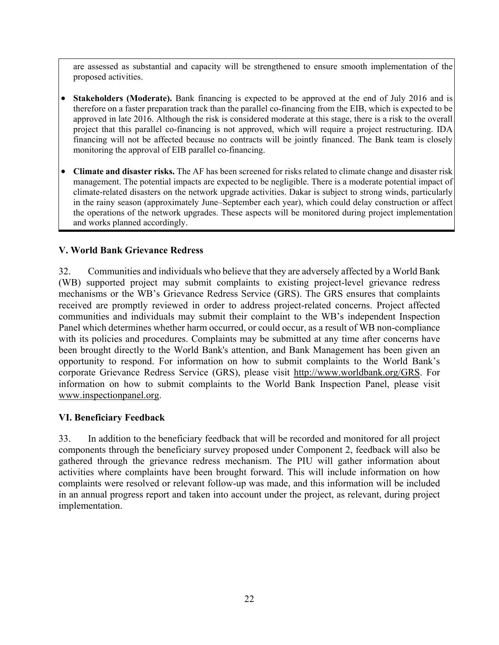are assessed as substantial and capacity will be strengthened to ensure smooth implementation of the proposed activities.

- **Stakeholders (Moderate).** Bank financing is expected to be approved at the end of July 2016 and is therefore on a faster preparation track than the parallel co-financing from the EIB, which is expected to be approved in late 2016. Although the risk is considered moderate at this stage, there is a risk to the overall project that this parallel co-financing is not approved, which will require a project restructuring. IDA financing will not be affected because no contracts will be jointly financed. The Bank team is closely monitoring the approval of EIB parallel co-financing.
- **Climate and disaster risks.** The AF has been screened for risks related to climate change and disaster risk management. The potential impacts are expected to be negligible. There is a moderate potential impact of climate-related disasters on the network upgrade activities. Dakar is subject to strong winds, particularly in the rainy season (approximately June–September each year), which could delay construction or affect the operations of the network upgrades. These aspects will be monitored during project implementation and works planned accordingly.

## **V. World Bank Grievance Redress**

32. Communities and individuals who believe that they are adversely affected by a World Bank (WB) supported project may submit complaints to existing project-level grievance redress mechanisms or the WB's Grievance Redress Service (GRS). The GRS ensures that complaints received are promptly reviewed in order to address project-related concerns. Project affected communities and individuals may submit their complaint to the WB's independent Inspection Panel which determines whether harm occurred, or could occur, as a result of WB non-compliance with its policies and procedures. Complaints may be submitted at any time after concerns have been brought directly to the World Bank's attention, and Bank Management has been given an opportunity to respond. For information on how to submit complaints to the World Bank's corporate Grievance Redress Service (GRS), please visit http://www.worldbank.org/GRS. For information on how to submit complaints to the World Bank Inspection Panel, please visit www.inspectionpanel.org.

## **VI. Beneficiary Feedback**

33. In addition to the beneficiary feedback that will be recorded and monitored for all project components through the beneficiary survey proposed under Component 2, feedback will also be gathered through the grievance redress mechanism. The PIU will gather information about activities where complaints have been brought forward. This will include information on how complaints were resolved or relevant follow-up was made, and this information will be included in an annual progress report and taken into account under the project, as relevant, during project implementation.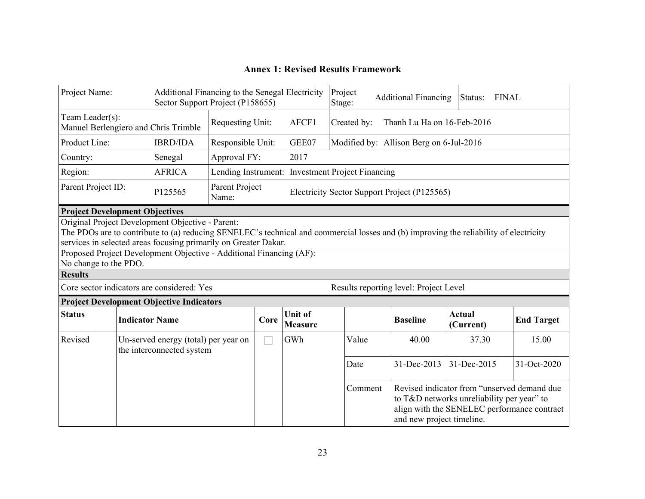## **Annex 1: Revised Results Framework**

| Project Name:                                                                        |                                                                                                                                                                                                                                                                                                                                                              |                                                                   | Additional Financing to the Senegal Electricity<br>Sector Support Project (P158655) |      |                                  | Project<br>Stage:                                | <b>Additional Financing</b>                  | Status:                                                                                    | <b>FINAL</b>      |
|--------------------------------------------------------------------------------------|--------------------------------------------------------------------------------------------------------------------------------------------------------------------------------------------------------------------------------------------------------------------------------------------------------------------------------------------------------------|-------------------------------------------------------------------|-------------------------------------------------------------------------------------|------|----------------------------------|--------------------------------------------------|----------------------------------------------|--------------------------------------------------------------------------------------------|-------------------|
| Team Leader(s):<br>Requesting Unit:<br>AFCF1<br>Manuel Berlengiero and Chris Trimble |                                                                                                                                                                                                                                                                                                                                                              |                                                                   |                                                                                     |      |                                  | Created by:                                      | Thanh Lu Ha on 16-Feb-2016                   |                                                                                            |                   |
| Product Line:                                                                        |                                                                                                                                                                                                                                                                                                                                                              | <b>IBRD/IDA</b>                                                   | Responsible Unit:                                                                   |      | GEE07                            |                                                  | Modified by: Allison Berg on 6-Jul-2016      |                                                                                            |                   |
| Country:                                                                             |                                                                                                                                                                                                                                                                                                                                                              | Senegal                                                           | Approval FY:                                                                        |      | 2017                             |                                                  |                                              |                                                                                            |                   |
| Region:                                                                              |                                                                                                                                                                                                                                                                                                                                                              | <b>AFRICA</b>                                                     |                                                                                     |      |                                  | Lending Instrument: Investment Project Financing |                                              |                                                                                            |                   |
| Parent Project ID:                                                                   |                                                                                                                                                                                                                                                                                                                                                              | P125565                                                           | Parent Project<br>Name:                                                             |      |                                  |                                                  | Electricity Sector Support Project (P125565) |                                                                                            |                   |
| <b>Project Development Objectives</b>                                                |                                                                                                                                                                                                                                                                                                                                                              |                                                                   |                                                                                     |      |                                  |                                                  |                                              |                                                                                            |                   |
| <b>Results</b>                                                                       | Original Project Development Objective - Parent:<br>The PDOs are to contribute to (a) reducing SENELEC's technical and commercial losses and (b) improving the reliability of electricity<br>services in selected areas focusing primarily on Greater Dakar.<br>Proposed Project Development Objective - Additional Financing (AF):<br>No change to the PDO. |                                                                   |                                                                                     |      |                                  |                                                  |                                              |                                                                                            |                   |
|                                                                                      |                                                                                                                                                                                                                                                                                                                                                              | Core sector indicators are considered: Yes                        |                                                                                     |      |                                  |                                                  | Results reporting level: Project Level       |                                                                                            |                   |
|                                                                                      |                                                                                                                                                                                                                                                                                                                                                              | <b>Project Development Objective Indicators</b>                   |                                                                                     |      |                                  |                                                  |                                              |                                                                                            |                   |
| <b>Status</b>                                                                        | <b>Indicator Name</b>                                                                                                                                                                                                                                                                                                                                        |                                                                   |                                                                                     | Core | <b>Unit of</b><br><b>Measure</b> |                                                  | <b>Baseline</b>                              | <b>Actual</b><br>(Current)                                                                 | <b>End Target</b> |
| Revised                                                                              |                                                                                                                                                                                                                                                                                                                                                              | Un-served energy (total) per year on<br>the interconnected system |                                                                                     |      | GWh                              | Value                                            | 40.00                                        | 37.30                                                                                      | 15.00             |
|                                                                                      |                                                                                                                                                                                                                                                                                                                                                              |                                                                   |                                                                                     |      |                                  | Date                                             | 31-Dec-2013                                  | 31-Dec-2015                                                                                | 31-Oct-2020       |
| Comment<br>to T&D networks unreliability per year" to<br>and new project timeline.   |                                                                                                                                                                                                                                                                                                                                                              |                                                                   |                                                                                     |      |                                  |                                                  |                                              | Revised indicator from "unserved demand due<br>align with the SENELEC performance contract |                   |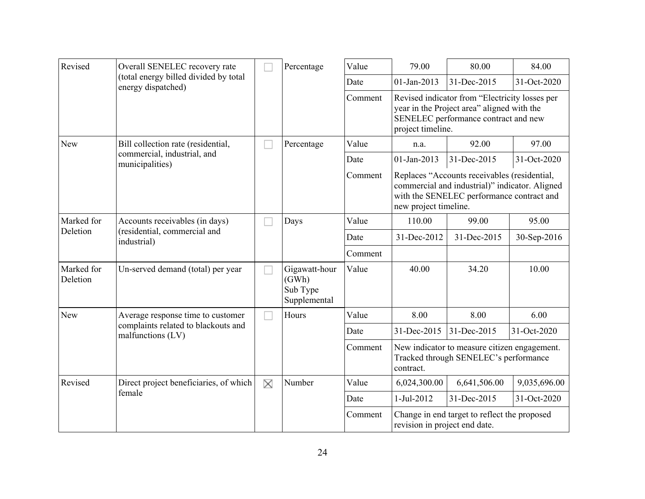| Revised                | Overall SENELEC recovery rate                                                 |    | Percentage                                         | Value   | 79.00                                                                                                                                                     | 80.00                                                                                                                                                                | 84.00        |
|------------------------|-------------------------------------------------------------------------------|----|----------------------------------------------------|---------|-----------------------------------------------------------------------------------------------------------------------------------------------------------|----------------------------------------------------------------------------------------------------------------------------------------------------------------------|--------------|
|                        | (total energy billed divided by total<br>energy dispatched)                   |    |                                                    | Date    | 01-Jan-2013                                                                                                                                               | 31-Dec-2015                                                                                                                                                          | 31-Oct-2020  |
|                        |                                                                               |    |                                                    | Comment | Revised indicator from "Electricity losses per<br>year in the Project area" aligned with the<br>SENELEC performance contract and new<br>project timeline. |                                                                                                                                                                      |              |
| New                    | Bill collection rate (residential,                                            |    | Percentage                                         | Value   | n.a.                                                                                                                                                      | 92.00                                                                                                                                                                | 97.00        |
|                        | commercial, industrial, and<br>municipalities)                                |    |                                                    | Date    | 01-Jan-2013                                                                                                                                               | 31-Dec-2015                                                                                                                                                          | 31-Oct-2020  |
|                        |                                                                               |    |                                                    | Comment |                                                                                                                                                           | Replaces "Accounts receivables (residential,<br>commercial and industrial)" indicator. Aligned<br>with the SENELEC performance contract and<br>new project timeline. |              |
| Marked for             | Accounts receivables (in days)<br>(residential, commercial and<br>industrial) |    | Days                                               | Value   | 110.00                                                                                                                                                    | 99.00                                                                                                                                                                | 95.00        |
| Deletion               |                                                                               |    |                                                    | Date    | 31-Dec-2012                                                                                                                                               | 31-Dec-2015                                                                                                                                                          | 30-Sep-2016  |
|                        |                                                                               |    |                                                    | Comment |                                                                                                                                                           |                                                                                                                                                                      |              |
| Marked for<br>Deletion | Un-served demand (total) per year                                             |    | Gigawatt-hour<br>(GWh)<br>Sub Type<br>Supplemental | Value   | 40.00                                                                                                                                                     | 34.20                                                                                                                                                                | 10.00        |
| <b>New</b>             | Average response time to customer                                             | M. | Hours                                              | Value   | 8.00                                                                                                                                                      | 8.00                                                                                                                                                                 | 6.00         |
|                        | complaints related to blackouts and<br>malfunctions (LV)                      |    |                                                    | Date    | 31-Dec-2015                                                                                                                                               | 31-Dec-2015                                                                                                                                                          | 31-Oct-2020  |
|                        |                                                                               |    |                                                    | Comment | contract.                                                                                                                                                 | New indicator to measure citizen engagement.<br>Tracked through SENELEC's performance                                                                                |              |
| Revised                | Direct project beneficiaries, of which                                        | X  | Number                                             | Value   | 6,024,300.00                                                                                                                                              | 6,641,506.00                                                                                                                                                         | 9,035,696.00 |
|                        | female                                                                        |    |                                                    | Date    | 1-Jul-2012                                                                                                                                                | 31-Dec-2015                                                                                                                                                          | 31-Oct-2020  |
|                        |                                                                               |    |                                                    | Comment |                                                                                                                                                           | Change in end target to reflect the proposed<br>revision in project end date.                                                                                        |              |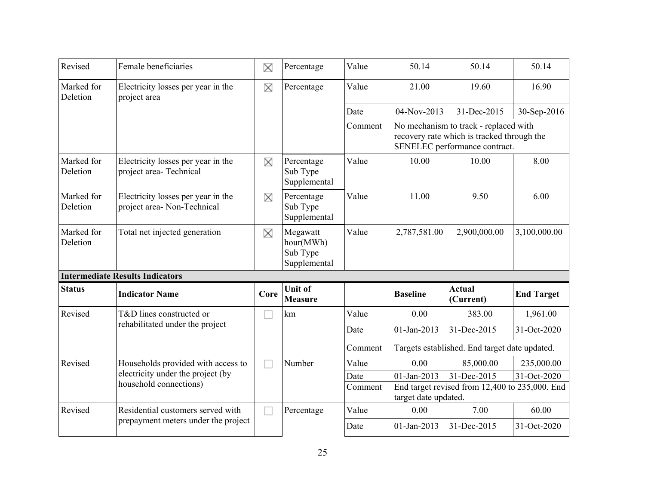| Revised                | Female beneficiaries                                              | X    | Percentage                                        | Value           | 50.14                                         | 50.14                                                                                                                | 50.14             |
|------------------------|-------------------------------------------------------------------|------|---------------------------------------------------|-----------------|-----------------------------------------------|----------------------------------------------------------------------------------------------------------------------|-------------------|
| Marked for<br>Deletion | Electricity losses per year in the<br>project area                | X    | Percentage                                        | Value           | 21.00                                         | 19.60                                                                                                                | 16.90             |
|                        |                                                                   |      |                                                   | Date            | 04-Nov-2013                                   | 31-Dec-2015                                                                                                          | 30-Sep-2016       |
|                        |                                                                   |      |                                                   | Comment         |                                               | No mechanism to track - replaced with<br>recovery rate which is tracked through the<br>SENELEC performance contract. |                   |
| Marked for<br>Deletion | Electricity losses per year in the<br>project area-Technical      | X    | Percentage<br>Sub Type<br>Supplemental            | Value           | 10.00                                         | 10.00                                                                                                                | 8.00              |
| Marked for<br>Deletion | Electricity losses per year in the<br>project area- Non-Technical | X    | Percentage<br>Sub Type<br>Supplemental            | Value           | 11.00                                         | 9.50                                                                                                                 | 6.00              |
| Marked for<br>Deletion | Total net injected generation                                     | X    | Megawatt<br>hour(MWh)<br>Sub Type<br>Supplemental | Value           | 2,787,581.00                                  | 2,900,000.00                                                                                                         | 3,100,000.00      |
|                        | <b>Intermediate Results Indicators</b>                            |      |                                                   |                 |                                               |                                                                                                                      |                   |
| <b>Status</b>          | <b>Indicator Name</b>                                             | Core | <b>Unit of</b><br><b>Measure</b>                  |                 | <b>Baseline</b>                               | <b>Actual</b><br>(Current)                                                                                           | <b>End Target</b> |
| Revised                | T&D lines constructed or                                          |      | km                                                | Value           | 0.00                                          | 383.00                                                                                                               | 1,961.00          |
|                        | rehabilitated under the project                                   |      |                                                   | Date            | 01-Jan-2013                                   | 31-Dec-2015                                                                                                          | 31-Oct-2020       |
|                        |                                                                   |      |                                                   | Comment         | Targets established. End target date updated. |                                                                                                                      |                   |
| Revised                | Households provided with access to                                | H    | Number                                            | Value           | 0.00                                          | 85,000.00                                                                                                            | 235,000.00        |
|                        | electricity under the project (by<br>household connections)       |      |                                                   | Date<br>Comment | 01-Jan-2013<br>target date updated.           | 31-Dec-2015<br>End target revised from 12,400 to 235,000. End                                                        | 31-Oct-2020       |
| Revised                | Residential customers served with                                 |      | Percentage                                        | Value           | 0.00                                          | 7.00                                                                                                                 | 60.00             |
|                        | prepayment meters under the project                               |      |                                                   | Date            | 01-Jan-2013                                   | 31-Dec-2015                                                                                                          | 31-Oct-2020       |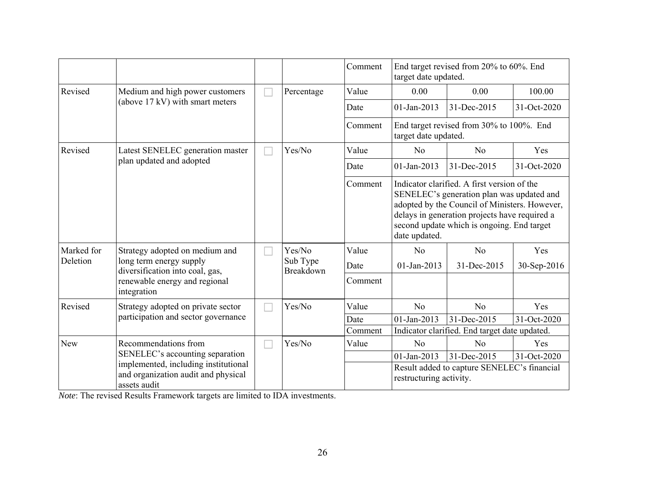|            |                                                                                             |  |                                 | Comment | End target revised from 20% to 60%. End<br>target date updated.                                                                                                                                                                                           |                                                                  |             |  |
|------------|---------------------------------------------------------------------------------------------|--|---------------------------------|---------|-----------------------------------------------------------------------------------------------------------------------------------------------------------------------------------------------------------------------------------------------------------|------------------------------------------------------------------|-------------|--|
| Revised    | Medium and high power customers                                                             |  | Percentage                      | Value   | 0.00                                                                                                                                                                                                                                                      | 0.00                                                             | 100.00      |  |
|            | (above 17 kV) with smart meters                                                             |  |                                 | Date    | 01-Jan-2013                                                                                                                                                                                                                                               | 31-Dec-2015                                                      | 31-Oct-2020 |  |
|            |                                                                                             |  |                                 | Comment |                                                                                                                                                                                                                                                           | End target revised from 30% to 100%. End<br>target date updated. |             |  |
| Revised    | Latest SENELEC generation master<br>plan updated and adopted                                |  | Yes/No                          | Value   | No                                                                                                                                                                                                                                                        | No                                                               | Yes         |  |
|            |                                                                                             |  |                                 | Date    | 01-Jan-2013                                                                                                                                                                                                                                               | 31-Dec-2015                                                      | 31-Oct-2020 |  |
|            |                                                                                             |  |                                 | Comment | Indicator clarified. A first version of the<br>SENELEC's generation plan was updated and<br>adopted by the Council of Ministers. However,<br>delays in generation projects have required a<br>second update which is ongoing. End target<br>date updated. |                                                                  |             |  |
| Marked for | Strategy adopted on medium and                                                              |  | Yes/No<br>Sub Type<br>Breakdown | Value   | N <sub>0</sub>                                                                                                                                                                                                                                            | N <sub>0</sub>                                                   | Yes         |  |
| Deletion   | long term energy supply<br>diversification into coal, gas,                                  |  |                                 | Date    | 01-Jan-2013                                                                                                                                                                                                                                               | 31-Dec-2015                                                      | 30-Sep-2016 |  |
|            | renewable energy and regional<br>integration                                                |  |                                 | Comment |                                                                                                                                                                                                                                                           |                                                                  |             |  |
| Revised    | Strategy adopted on private sector                                                          |  | Yes/No                          | Value   | N <sub>o</sub>                                                                                                                                                                                                                                            | N <sub>o</sub>                                                   | Yes         |  |
|            | participation and sector governance                                                         |  |                                 | Date    | 01-Jan-2013                                                                                                                                                                                                                                               | 31-Dec-2015                                                      | 31-Oct-2020 |  |
|            |                                                                                             |  |                                 | Comment |                                                                                                                                                                                                                                                           | Indicator clarified. End target date updated.                    |             |  |
| <b>New</b> | Recommendations from                                                                        |  | Yes/No                          | Value   | No                                                                                                                                                                                                                                                        | No                                                               | Yes         |  |
|            | SENELEC's accounting separation                                                             |  |                                 |         | 01-Jan-2013                                                                                                                                                                                                                                               | 31-Dec-2015                                                      | 31-Oct-2020 |  |
|            | implemented, including institutional<br>and organization audit and physical<br>assets audit |  |                                 |         | restructuring activity.                                                                                                                                                                                                                                   | Result added to capture SENELEC's financial                      |             |  |

*Note*: The revised Results Framework targets are limited to IDA investments.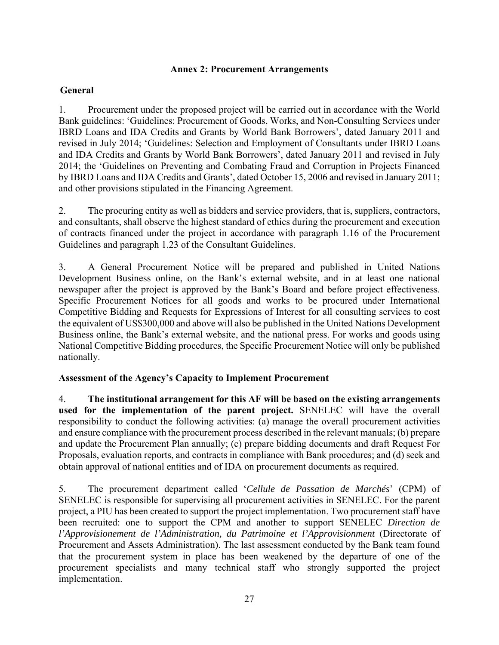## **Annex 2: Procurement Arrangements**

## **General**

1. Procurement under the proposed project will be carried out in accordance with the World Bank guidelines: 'Guidelines: Procurement of Goods, Works, and Non-Consulting Services under IBRD Loans and IDA Credits and Grants by World Bank Borrowers', dated January 2011 and revised in July 2014; 'Guidelines: Selection and Employment of Consultants under IBRD Loans and IDA Credits and Grants by World Bank Borrowers', dated January 2011 and revised in July 2014; the 'Guidelines on Preventing and Combating Fraud and Corruption in Projects Financed by IBRD Loans and IDA Credits and Grants', dated October 15, 2006 and revised in January 2011; and other provisions stipulated in the Financing Agreement.

2. The procuring entity as well as bidders and service providers, that is, suppliers, contractors, and consultants, shall observe the highest standard of ethics during the procurement and execution of contracts financed under the project in accordance with paragraph 1.16 of the Procurement Guidelines and paragraph 1.23 of the Consultant Guidelines.

3. A General Procurement Notice will be prepared and published in United Nations Development Business online, on the Bank's external website, and in at least one national newspaper after the project is approved by the Bank's Board and before project effectiveness. Specific Procurement Notices for all goods and works to be procured under International Competitive Bidding and Requests for Expressions of Interest for all consulting services to cost the equivalent of US\$300,000 and above will also be published in the United Nations Development Business online, the Bank's external website, and the national press. For works and goods using National Competitive Bidding procedures, the Specific Procurement Notice will only be published nationally.

# **Assessment of the Agency's Capacity to Implement Procurement**

4. **The institutional arrangement for this AF will be based on the existing arrangements used for the implementation of the parent project.** SENELEC will have the overall responsibility to conduct the following activities: (a) manage the overall procurement activities and ensure compliance with the procurement process described in the relevant manuals; (b) prepare and update the Procurement Plan annually; (c) prepare bidding documents and draft Request For Proposals, evaluation reports, and contracts in compliance with Bank procedures; and (d) seek and obtain approval of national entities and of IDA on procurement documents as required.

5. The procurement department called '*Cellule de Passation de Marchés*' (CPM) of SENELEC is responsible for supervising all procurement activities in SENELEC. For the parent project, a PIU has been created to support the project implementation. Two procurement staff have been recruited: one to support the CPM and another to support SENELEC *Direction de l'Approvisionement de l'Administration, du Patrimoine et l'Approvisionment* (Directorate of Procurement and Assets Administration). The last assessment conducted by the Bank team found that the procurement system in place has been weakened by the departure of one of the procurement specialists and many technical staff who strongly supported the project implementation.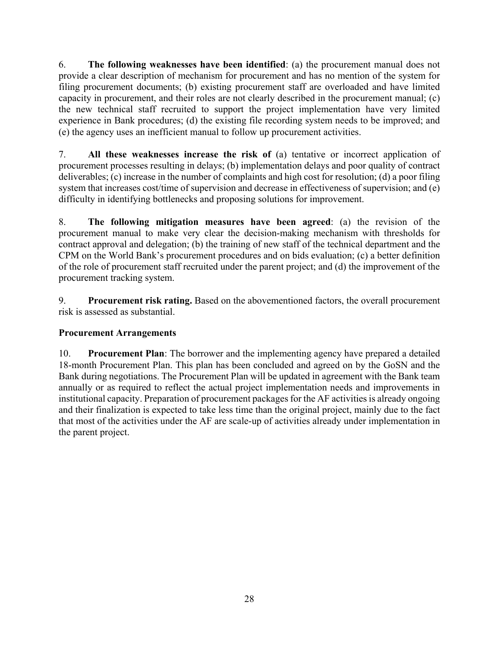6. **The following weaknesses have been identified**: (a) the procurement manual does not provide a clear description of mechanism for procurement and has no mention of the system for filing procurement documents; (b) existing procurement staff are overloaded and have limited capacity in procurement, and their roles are not clearly described in the procurement manual; (c) the new technical staff recruited to support the project implementation have very limited experience in Bank procedures; (d) the existing file recording system needs to be improved; and (e) the agency uses an inefficient manual to follow up procurement activities.

7. **All these weaknesses increase the risk of** (a) tentative or incorrect application of procurement processes resulting in delays; (b) implementation delays and poor quality of contract deliverables; (c) increase in the number of complaints and high cost for resolution; (d) a poor filing system that increases cost/time of supervision and decrease in effectiveness of supervision; and (e) difficulty in identifying bottlenecks and proposing solutions for improvement.

8. **The following mitigation measures have been agreed**: (a) the revision of the procurement manual to make very clear the decision-making mechanism with thresholds for contract approval and delegation; (b) the training of new staff of the technical department and the CPM on the World Bank's procurement procedures and on bids evaluation; (c) a better definition of the role of procurement staff recruited under the parent project; and (d) the improvement of the procurement tracking system.

9. **Procurement risk rating.** Based on the abovementioned factors, the overall procurement risk is assessed as substantial.

# **Procurement Arrangements**

10. **Procurement Plan**: The borrower and the implementing agency have prepared a detailed 18-month Procurement Plan. This plan has been concluded and agreed on by the GoSN and the Bank during negotiations. The Procurement Plan will be updated in agreement with the Bank team annually or as required to reflect the actual project implementation needs and improvements in institutional capacity. Preparation of procurement packages for the AF activities is already ongoing and their finalization is expected to take less time than the original project, mainly due to the fact that most of the activities under the AF are scale-up of activities already under implementation in the parent project.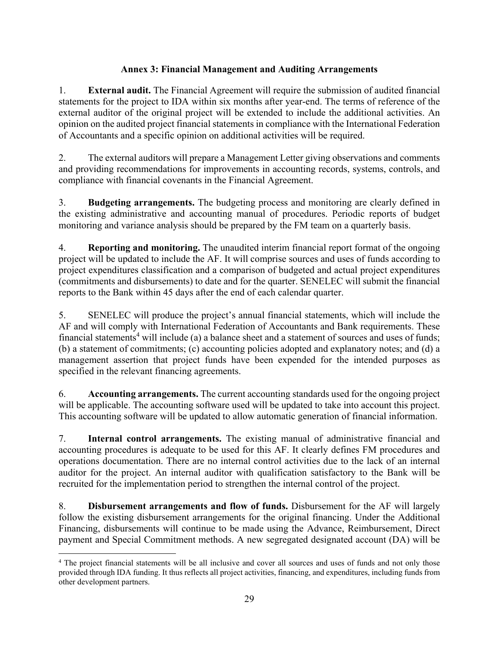# **Annex 3: Financial Management and Auditing Arrangements**

1. **External audit.** The Financial Agreement will require the submission of audited financial statements for the project to IDA within six months after year-end. The terms of reference of the external auditor of the original project will be extended to include the additional activities. An opinion on the audited project financial statements in compliance with the International Federation of Accountants and a specific opinion on additional activities will be required.

2. The external auditors will prepare a Management Letter giving observations and comments and providing recommendations for improvements in accounting records, systems, controls, and compliance with financial covenants in the Financial Agreement.

3. **Budgeting arrangements.** The budgeting process and monitoring are clearly defined in the existing administrative and accounting manual of procedures. Periodic reports of budget monitoring and variance analysis should be prepared by the FM team on a quarterly basis.

4. **Reporting and monitoring.** The unaudited interim financial report format of the ongoing project will be updated to include the AF. It will comprise sources and uses of funds according to project expenditures classification and a comparison of budgeted and actual project expenditures (commitments and disbursements) to date and for the quarter. SENELEC will submit the financial reports to the Bank within 45 days after the end of each calendar quarter.

5. SENELEC will produce the project's annual financial statements, which will include the AF and will comply with International Federation of Accountants and Bank requirements. These financial statements<sup>4</sup> will include (a) a balance sheet and a statement of sources and uses of funds; (b) a statement of commitments; (c) accounting policies adopted and explanatory notes; and (d) a management assertion that project funds have been expended for the intended purposes as specified in the relevant financing agreements.

6. **Accounting arrangements.** The current accounting standards used for the ongoing project will be applicable. The accounting software used will be updated to take into account this project. This accounting software will be updated to allow automatic generation of financial information.

7. **Internal control arrangements.** The existing manual of administrative financial and accounting procedures is adequate to be used for this AF. It clearly defines FM procedures and operations documentation. There are no internal control activities due to the lack of an internal auditor for the project. An internal auditor with qualification satisfactory to the Bank will be recruited for the implementation period to strengthen the internal control of the project.

8. **Disbursement arrangements and flow of funds.** Disbursement for the AF will largely follow the existing disbursement arrangements for the original financing. Under the Additional Financing, disbursements will continue to be made using the Advance, Reimbursement, Direct payment and Special Commitment methods. A new segregated designated account (DA) will be

 $\overline{a}$ <sup>4</sup> The project financial statements will be all inclusive and cover all sources and uses of funds and not only those provided through IDA funding. It thus reflects all project activities, financing, and expenditures, including funds from other development partners.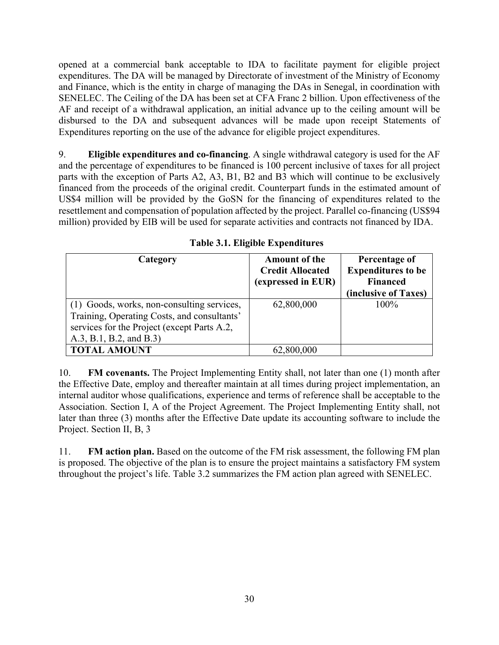opened at a commercial bank acceptable to IDA to facilitate payment for eligible project expenditures. The DA will be managed by Directorate of investment of the Ministry of Economy and Finance, which is the entity in charge of managing the DAs in Senegal, in coordination with SENELEC. The Ceiling of the DA has been set at CFA Franc 2 billion. Upon effectiveness of the AF and receipt of a withdrawal application, an initial advance up to the ceiling amount will be disbursed to the DA and subsequent advances will be made upon receipt Statements of Expenditures reporting on the use of the advance for eligible project expenditures.

9. **Eligible expenditures and co-financing**. A single withdrawal category is used for the AF and the percentage of expenditures to be financed is 100 percent inclusive of taxes for all project parts with the exception of Parts A2, A3, B1, B2 and B3 which will continue to be exclusively financed from the proceeds of the original credit. Counterpart funds in the estimated amount of US\$4 million will be provided by the GoSN for the financing of expenditures related to the resettlement and compensation of population affected by the project. Parallel co-financing (US\$94 million) provided by EIB will be used for separate activities and contracts not financed by IDA.

| Category                                                                                                                                                            | <b>Amount of the</b><br><b>Credit Allocated</b><br>(expressed in EUR) | Percentage of<br><b>Expenditures to be</b><br><b>Financed</b><br>(inclusive of Taxes) |
|---------------------------------------------------------------------------------------------------------------------------------------------------------------------|-----------------------------------------------------------------------|---------------------------------------------------------------------------------------|
| (1) Goods, works, non-consulting services,<br>Training, Operating Costs, and consultants'<br>services for the Project (except Parts A.2,<br>A.3, B.1, B.2, and B.3) | 62,800,000                                                            | 100%                                                                                  |
| <b>TOTAL AMOUNT</b>                                                                                                                                                 | 62,800,000                                                            |                                                                                       |

**Table 3.1. Eligible Expenditures**

10. **FM covenants.** The Project Implementing Entity shall, not later than one (1) month after the Effective Date, employ and thereafter maintain at all times during project implementation, an internal auditor whose qualifications, experience and terms of reference shall be acceptable to the Association. Section I, A of the Project Agreement. The Project Implementing Entity shall, not later than three (3) months after the Effective Date update its accounting software to include the Project. Section II, B, 3

11. **FM action plan.** Based on the outcome of the FM risk assessment, the following FM plan is proposed. The objective of the plan is to ensure the project maintains a satisfactory FM system throughout the project's life. Table 3.2 summarizes the FM action plan agreed with SENELEC.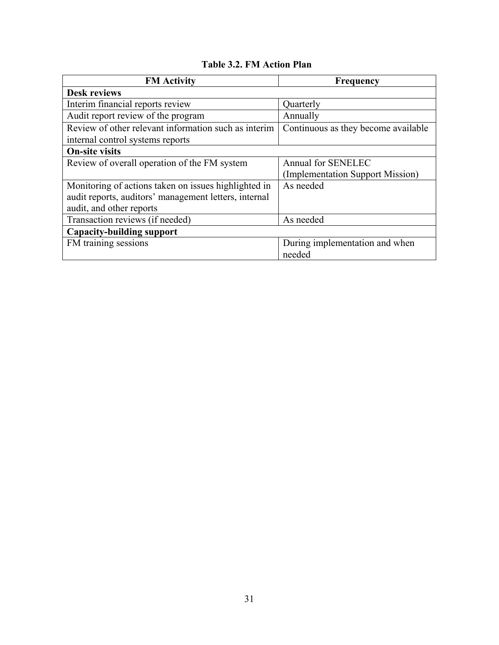# **Table 3.2. FM Action Plan**

| <b>FM</b> Activity                                    | Frequency                           |
|-------------------------------------------------------|-------------------------------------|
| <b>Desk reviews</b>                                   |                                     |
| Interim financial reports review                      | Quarterly                           |
| Audit report review of the program                    | Annually                            |
| Review of other relevant information such as interim  | Continuous as they become available |
| internal control systems reports                      |                                     |
| <b>On-site visits</b>                                 |                                     |
| Review of overall operation of the FM system          | <b>Annual for SENELEC</b>           |
|                                                       | (Implementation Support Mission)    |
| Monitoring of actions taken on issues highlighted in  | As needed                           |
| audit reports, auditors' management letters, internal |                                     |
| audit, and other reports                              |                                     |
| Transaction reviews (if needed)                       | As needed                           |
| <b>Capacity-building support</b>                      |                                     |
| FM training sessions                                  | During implementation and when      |
|                                                       | needed                              |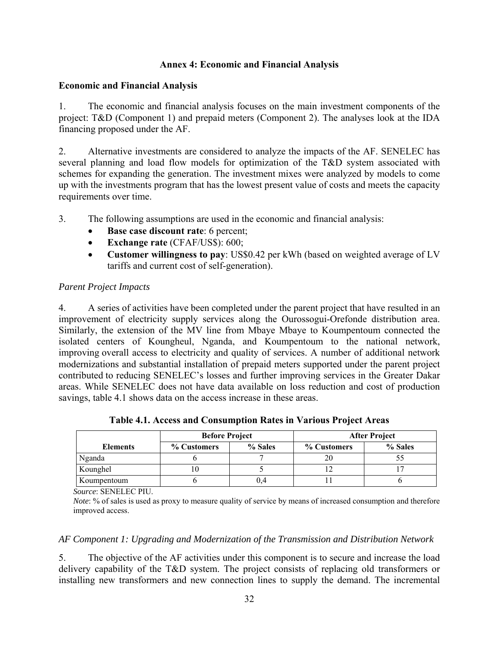## **Annex 4: Economic and Financial Analysis**

## **Economic and Financial Analysis**

1. The economic and financial analysis focuses on the main investment components of the project: T&D (Component 1) and prepaid meters (Component 2). The analyses look at the IDA financing proposed under the AF.

2. Alternative investments are considered to analyze the impacts of the AF. SENELEC has several planning and load flow models for optimization of the T&D system associated with schemes for expanding the generation. The investment mixes were analyzed by models to come up with the investments program that has the lowest present value of costs and meets the capacity requirements over time.

3. The following assumptions are used in the economic and financial analysis:

- **Base case discount rate**: 6 percent;
- **Exchange rate** (CFAF/US\$): 600;
- **Customer willingness to pay**: US\$0.42 per kWh (based on weighted average of LV tariffs and current cost of self-generation).

# *Parent Project Impacts*

4. A series of activities have been completed under the parent project that have resulted in an improvement of electricity supply services along the Ourossogui-Orefonde distribution area. Similarly, the extension of the MV line from Mbaye Mbaye to Koumpentoum connected the isolated centers of Koungheul, Nganda, and Koumpentoum to the national network, improving overall access to electricity and quality of services. A number of additional network modernizations and substantial installation of prepaid meters supported under the parent project contributed to reducing SENELEC's losses and further improving services in the Greater Dakar areas. While SENELEC does not have data available on loss reduction and cost of production savings, table 4.1 shows data on the access increase in these areas.

|                 | <b>Before Project</b> |         | <b>After Project</b> |         |  |  |  |
|-----------------|-----------------------|---------|----------------------|---------|--|--|--|
| <b>Elements</b> | % Customers           | % Sales | % Customers          | % Sales |  |  |  |
| Nganda          |                       |         | 20                   |         |  |  |  |
| Kounghel        |                       |         |                      |         |  |  |  |
| Koumpentoum     |                       | V.4     |                      |         |  |  |  |

**Table 4.1. Access and Consumption Rates in Various Project Areas** 

*Source*: SENELEC PIU.

*Note*: % of sales is used as proxy to measure quality of service by means of increased consumption and therefore improved access.

# *AF Component 1: Upgrading and Modernization of the Transmission and Distribution Network*

5. The objective of the AF activities under this component is to secure and increase the load delivery capability of the T&D system. The project consists of replacing old transformers or installing new transformers and new connection lines to supply the demand. The incremental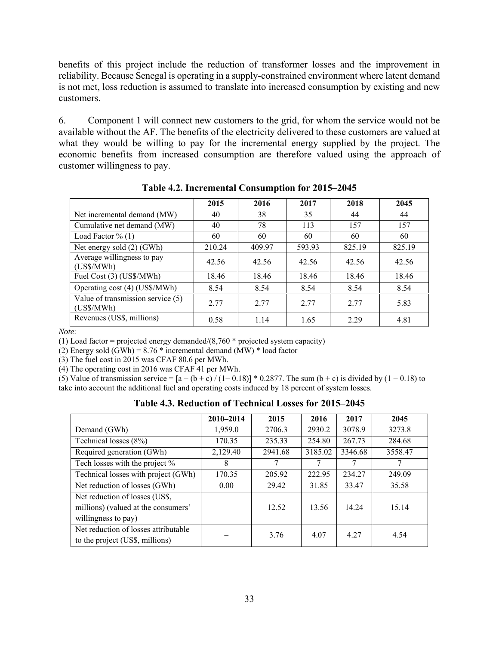benefits of this project include the reduction of transformer losses and the improvement in reliability. Because Senegal is operating in a supply-constrained environment where latent demand is not met, loss reduction is assumed to translate into increased consumption by existing and new customers.

6. Component 1 will connect new customers to the grid, for whom the service would not be available without the AF. The benefits of the electricity delivered to these customers are valued at what they would be willing to pay for the incremental energy supplied by the project. The economic benefits from increased consumption are therefore valued using the approach of customer willingness to pay.

|                                                   | 2015   | 2016   | 2017   | 2018   | 2045   |
|---------------------------------------------------|--------|--------|--------|--------|--------|
| Net incremental demand (MW)                       | 40     | 38     | 35     | 44     | 44     |
| Cumulative net demand (MW)                        | 40     | 78     | 113    | 157    | 157    |
| Load Factor $\%$ (1)                              | 60     | 60     | 60     | 60     | 60     |
| Net energy sold (2) (GWh)                         | 210.24 | 409.97 | 593.93 | 825.19 | 825.19 |
| Average willingness to pay<br>(US\$/MWh)          | 42.56  | 42.56  | 42.56  | 42.56  | 42.56  |
| Fuel Cost (3) (US\$/MWh)                          | 18.46  | 18.46  | 18.46  | 18.46  | 18.46  |
| Operating cost (4) (US\$/MWh)                     | 8.54   | 8.54   | 8.54   | 8.54   | 8.54   |
| Value of transmission service $(5)$<br>(US\$/MWh) | 2.77   | 2.77   | 2.77   | 2.77   | 5.83   |
| Revenues (US\$, millions)                         | 0.58   | 1.14   | 1.65   | 2.29   | 4.81   |

**Table 4.2. Incremental Consumption for 2015–2045**

*Note*:

(1) Load factor = projected energy demanded/ $(8,760 *$  projected system capacity)

(2) Energy sold  $(GWh) = 8.76 *$  incremental demand  $(MW) *$  load factor

(3) The fuel cost in 2015 was CFAF 80.6 per MWh.

(4) The operating cost in 2016 was CFAF 41 per MWh.

(5) Value of transmission service =  $[a - (b + c)/(1 - 0.18)] * 0.2877$ . The sum  $(b + c)$  is divided by  $(1 - 0.18)$  to take into account the additional fuel and operating costs induced by 18 percent of system losses.

**Table 4.3. Reduction of Technical Losses for 2015–2045** 

|                                                                                              | 2010-2014 | 2015    | 2016    | 2017    | 2045    |
|----------------------------------------------------------------------------------------------|-----------|---------|---------|---------|---------|
| Demand (GWh)                                                                                 | 1,959.0   | 2706.3  | 2930.2  | 3078.9  | 3273.8  |
| Technical losses (8%)                                                                        | 170.35    | 235.33  | 254.80  | 267.73  | 284.68  |
| Required generation (GWh)                                                                    | 2,129.40  | 2941.68 | 3185.02 | 3346.68 | 3558.47 |
| Tech losses with the project %                                                               | 8         |         |         |         | 7       |
| Technical losses with project (GWh)                                                          | 170.35    | 205.92  | 222.95  | 234.27  | 249.09  |
| Net reduction of losses (GWh)                                                                | 0.00      | 29.42   | 31.85   | 33.47   | 35.58   |
| Net reduction of losses (US\$,<br>millions) (valued at the consumers'<br>willingness to pay) |           | 12.52   | 13.56   | 14.24   | 15.14   |
| Net reduction of losses attributable<br>to the project (US\$, millions)                      |           | 3.76    | 4.07    | 4 2 7   | 4.54    |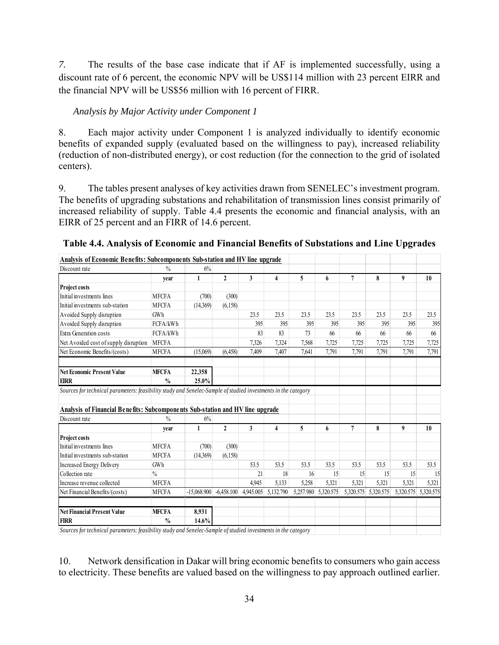*7.* The results of the base case indicate that if AF is implemented successfully, using a discount rate of 6 percent, the economic NPV will be US\$114 million with 23 percent EIRR and the financial NPV will be US\$56 million with 16 percent of FIRR.

# *Analysis by Major Activity under Component 1*

8. Each major activity under Component 1 is analyzed individually to identify economic benefits of expanded supply (evaluated based on the willingness to pay), increased reliability (reduction of non-distributed energy), or cost reduction (for the connection to the grid of isolated centers).

9. The tables present analyses of key activities drawn from SENELEC's investment program. The benefits of upgrading substations and rehabilitation of transmission lines consist primarily of increased reliability of supply. Table 4.4 presents the economic and financial analysis, with an EIRR of 25 percent and an FIRR of 14.6 percent.

| Analysis of Economic Benefits: Subcomponents Sub-station and HV line upgrade                                  |               |               |              |           |           |           |           |                |           |           |           |
|---------------------------------------------------------------------------------------------------------------|---------------|---------------|--------------|-----------|-----------|-----------|-----------|----------------|-----------|-----------|-----------|
| Discount rate                                                                                                 | $\frac{0}{0}$ | 6%            |              |           |           |           |           |                |           |           |           |
|                                                                                                               | vear          | 1             | $\mathbf{2}$ | 3         | 4         | 5         | 6         | 7              | 8         | 9         | 10        |
| <b>Project costs</b>                                                                                          |               |               |              |           |           |           |           |                |           |           |           |
| Initial investments lines                                                                                     | <b>MFCFA</b>  | (700)         | (300)        |           |           |           |           |                |           |           |           |
| Initial investments sub-station                                                                               | <b>MFCFA</b>  | (14.369)      | (6, 158)     |           |           |           |           |                |           |           |           |
| Avoided Supply disruption                                                                                     | GWh           |               |              | 23.5      | 23.5      | 23.5      | 23.5      | 23.5           | 23.5      | 23.5      | 23.5      |
| Avoided Supply disruption                                                                                     | FCFA/kWh      |               |              | 395       | 395       | 395       | 395       | 395            | 395       | 395       | 395       |
| Extra Generation costs                                                                                        | FCFA/kWh      |               |              | 83        | 83        | 73        | 66        | 66             | 66        | 66        | 66        |
| Net Avoided cost of supply disruption                                                                         | <b>MFCFA</b>  |               |              | 7,326     | 7,324     | 7,568     | 7,725     | 7.725          | 7,725     | 7,725     | 7,725     |
| Net Economic Benefits/(costs)                                                                                 | <b>MFCFA</b>  | (15,069)      | (6, 458)     | 7,409     | 7,407     | 7,641     | 7,791     | 7,791          | 7,791     | 7,791     | 7,791     |
| <b>Net Economic Present Value</b>                                                                             | <b>MFCFA</b>  | 22,358        |              |           |           |           |           |                |           |           |           |
| <b>EIRR</b>                                                                                                   | $\frac{0}{0}$ | 25.0%         |              |           |           |           |           |                |           |           |           |
| Sources for technical parameters: feasibility study and Senelec-Sample of studied investments in the category |               |               |              |           |           |           |           |                |           |           |           |
| Analysis of Financial Benefits: Subcomponents Sub-station and HV line upgrade                                 |               |               |              |           |           |           |           |                |           |           |           |
| Discount rate                                                                                                 | $\%$          | 6%            |              |           |           |           |           |                |           |           |           |
|                                                                                                               | vear          | $\mathbf{1}$  | $\mathbf{2}$ | 3         | 4         | 5         | 6         | $\overline{7}$ | 8         | 9         | 10        |
| <b>Project costs</b>                                                                                          |               |               |              |           |           |           |           |                |           |           |           |
| Initial investments lines                                                                                     | <b>MFCFA</b>  | (700)         | (300)        |           |           |           |           |                |           |           |           |
| Initial investments sub-station                                                                               | <b>MFCFA</b>  | (14,369)      | (6, 158)     |           |           |           |           |                |           |           |           |
| <b>Increased Energy Delivery</b>                                                                              | GWh           |               |              | 53.5      | 53.5      | 53.5      | 53.5      | 53.5           | 53.5      | 53.5      | 53.5      |
| Collection rate                                                                                               | $\frac{0}{0}$ |               |              | 21        | 18        | 16        | 15        | 15             | 15        | 15        | 15        |
| Increase revenue collected                                                                                    | <b>MFCFA</b>  |               |              | 4.945     | 5,133     | 5,258     | 5,321     | 5,321          | 5,321     | 5,321     | 5,321     |
| Net Financial Benefits/(costs)                                                                                | <b>MFCFA</b>  | $-15,068,900$ | $-6,458,100$ | 4,945.005 | 5,132.790 | 5,257.980 | 5,320.575 | 5,320.575      | 5,320.575 | 5,320.575 | 5,320.575 |
| <b>Net Financial Present Value</b>                                                                            | <b>MFCFA</b>  | 8.931         |              |           |           |           |           |                |           |           |           |
| <b>FIRR</b>                                                                                                   | $\frac{0}{0}$ | 14.6%         |              |           |           |           |           |                |           |           |           |

| Table 4.4. Analysis of Economic and Financial Benefits of Substations and Line Upgrades |  |  |  |  |
|-----------------------------------------------------------------------------------------|--|--|--|--|
|-----------------------------------------------------------------------------------------|--|--|--|--|

*Sources for technical parameters: feasibility study and Senelec-Sample of studied investments in the category*

10. Network densification in Dakar will bring economic benefits to consumers who gain access to electricity. These benefits are valued based on the willingness to pay approach outlined earlier.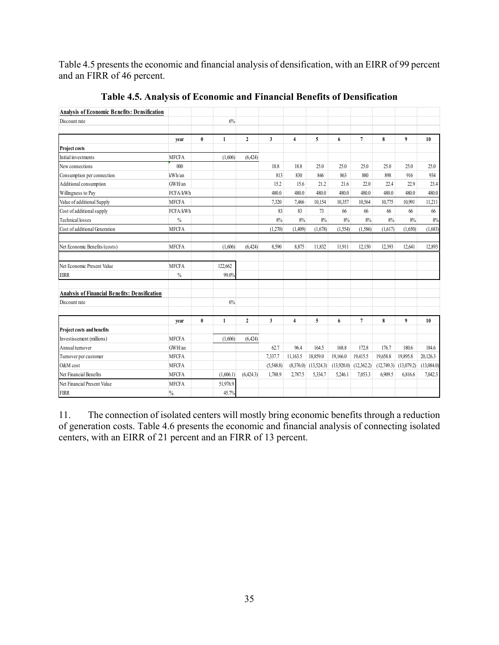Table 4.5 presents the economic and financial analysis of densification, with an EIRR of 99 percent and an FIRR of 46 percent.

| <b>Analysis of Economic Benefits: Densification</b>  |               |           |           |                |              |                |            |            |                |            |            |            |
|------------------------------------------------------|---------------|-----------|-----------|----------------|--------------|----------------|------------|------------|----------------|------------|------------|------------|
| Discount rate                                        |               |           | 6%        |                |              |                |            |            |                |            |            |            |
|                                                      | vear          | $\bf{0}$  | 1         | $\overline{2}$ | $\mathbf{3}$ | $\overline{4}$ | 5          | 6          | $\overline{7}$ | 8          | 9          | 10         |
| Project costs                                        |               |           |           |                |              |                |            |            |                |            |            |            |
| Initial investments                                  | <b>MFCFA</b>  |           | (1,606)   | (6,424)        |              |                |            |            |                |            |            |            |
| New connections                                      | 000           |           |           |                | 18.8         | 18.8           | 25.0       | 25.0       | 25.0           | 25.0       | 25.0       | 25.0       |
| Consumption per connection                           | kWh/an        |           |           |                | 813          | 830            | 846        | 863        | 880            | 898        | 916        | 934        |
| Additional consumption                               | GWH/an        |           |           |                | 15.2         | 15.6           | 21.2       | 21.6       | 22.0           | 22.4       | 229        | 23.4       |
| Willingness to Pay                                   | FCFA/kWh      |           |           |                | 480.0        | 480.0          | 480.0      | 480.0      | 480.0          | 480.0      | 480.0      | 480.0      |
| Value of additional Supply                           | <b>MFCFA</b>  |           |           |                | 7,320        | 7,466          | 10,154     | 10,357     | 10,564         | 10,775     | 10,991     | 11,211     |
| Cost of additional supply                            | FCFA/kWh      |           |           |                | 83           | 83             | 73         | 66         | 66             | 66         | 66         | 66         |
| <b>Technical losses</b>                              | $\%$          |           |           |                | 8%           | 8%             | 8%         | 8%         | 8%             | 8%         | 8%         | 8%         |
| Cost of additional Generation                        | <b>MFCFA</b>  |           |           |                | (1,270)      | (1,409)        | (1,678)    | (1,554)    | (1,586)        | (1,617)    | (1,650)    | (1,683)    |
| Net Economic Benefits/(costs)                        | <b>MFCFA</b>  |           | (1,606)   | (6.424)        | 8.590        | 8,875          | 11,832     | 11,911     | 12,150         | 12,393     | 12,641     | 12,893     |
| Net Economic Present Value                           | <b>MFCFA</b>  |           | 122,662   |                |              |                |            |            |                |            |            |            |
| <b>EIRR</b>                                          | $\frac{0}{0}$ |           | 99.0%     |                |              |                |            |            |                |            |            |            |
| <b>Analysis of Financial Benefits: Densification</b> |               |           |           |                |              |                |            |            |                |            |            |            |
| Discount rate                                        |               |           | 6%        |                |              |                |            |            |                |            |            |            |
|                                                      | year          | $\pmb{0}$ | 1         | $\mathbf{2}$   | $\mathbf{3}$ | $\overline{4}$ | 5          | 6          | 7              | 8          | 9          | 10         |
| Project costs and benefits                           |               |           |           |                |              |                |            |            |                |            |            |            |
| Investissement (millions)                            | <b>MFCFA</b>  |           | (1,606)   | (6,424)        |              |                |            |            |                |            |            |            |
| Annual turnover                                      | GWH/an        |           |           |                | 62.7         | 96.4           | 164.5      | 168.8      | 172.8          | 176.7      | 180.6      | 184.6      |
| Turnover per customer                                | <b>MFCFA</b>  |           |           |                | 7,337.7      | 11,163.5       | 18,859.0   | 19,166.0   | 19,415.5       | 19,658.8   | 19,895.8   | 20,126.3   |
| O&M cost                                             | <b>MFCFA</b>  |           |           |                | (5,548.8)    | (8,376.0)      | (13,524.3) | (13,920.0) | (12,362.2)     | (12,749.3) | (13,079.2) | (13,084.0) |
| Net Financial Benefits                               | <b>MFCFA</b>  |           | (1,606.1) | (6,424.3)      | 1,788.9      | 2,787.5        | 5,334.7    | 5,246.1    | 7,053.3        | 6,909.5    | 6,816.6    | 7,042.3    |
| Net Financial Present Value                          | <b>MFCFA</b>  |           | 51,976.9  |                |              |                |            |            |                |            |            |            |
| <b>FIRR</b>                                          | $\%$          |           | 45.7%     |                |              |                |            |            |                |            |            |            |

**Table 4.5. Analysis of Economic and Financial Benefits of Densification** 

11. The connection of isolated centers will mostly bring economic benefits through a reduction of generation costs. Table 4.6 presents the economic and financial analysis of connecting isolated centers, with an EIRR of 21 percent and an FIRR of 13 percent.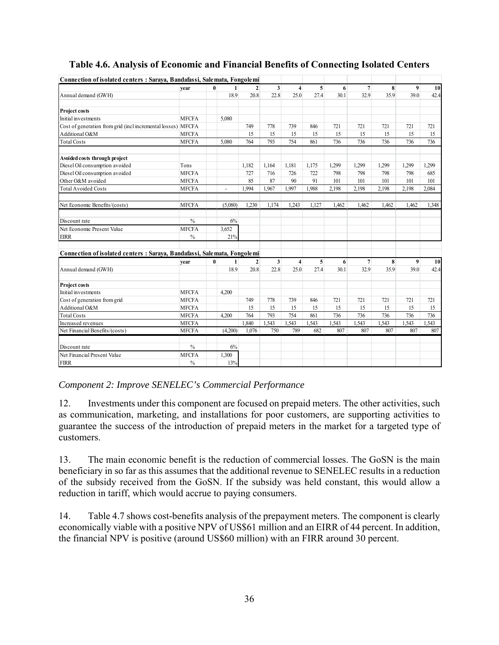| Connection of isolated centers: Sarava, Bandafassi, Salemata, Fongolemi |               |              |                |                |                |                |                |       |                 |       |                  |       |
|-------------------------------------------------------------------------|---------------|--------------|----------------|----------------|----------------|----------------|----------------|-------|-----------------|-------|------------------|-------|
|                                                                         | vear          | $\mathbf{0}$ | 1              | 2 <sup>1</sup> | 3 <sup>1</sup> | $\overline{4}$ | 5 <sup>1</sup> | 6     | $\overline{7}$  | 8     | 9                | 10    |
| Annual demand (GWH)                                                     |               |              | 18.9           | 20.8           | 22.8           | 25.0           | 27.4           | 30.1  | 32.9            | 35.9  | 39.0             | 42.4  |
| <b>Project costs</b>                                                    |               |              |                |                |                |                |                |       |                 |       |                  |       |
| Initial investments                                                     | <b>MFCFA</b>  |              | 5,080          |                |                |                |                |       |                 |       |                  |       |
| Cost of generation from grid (incl incremental losses) MFCFA            |               |              |                | 749            | 778            | 739            | 846            | 721   | 721             | 721   | 721              | 721   |
| Additional O&M                                                          | <b>MFCFA</b>  |              |                | 15             | 15             | 15             | 15             | 15    | 15              | 15    | 15               | 15    |
| <b>Total Costs</b>                                                      | <b>MFCFA</b>  |              | 5,080          | 764            | 793            | 754            | 861            | 736   | 736             | 736   | 736              | 736   |
| Avoided costs through project                                           |               |              |                |                |                |                |                |       |                 |       |                  |       |
| Diesel Oil consumption avoided                                          | Tons          |              |                | 1.182          | 1.164          | 1.181          | 1.175          | 1,299 | 1.299           | 1.299 | 1,299            | 1.299 |
| Diesel Oil consumption avoided                                          | <b>MFCFA</b>  |              |                | 727            | 716            | 726            | 722            | 798   | 798             | 798   | 798              | 685   |
| Other O&M avoided                                                       | <b>MFCFA</b>  |              |                | 85             | 87             | 90             | 91             | 101   | 101             | 101   | 101              | 101   |
| <b>Total Avoided Costs</b>                                              | <b>MFCFA</b>  |              | $\blacksquare$ | 1,994          | 1,967          | 1,997          | 1,988          | 2,198 | 2,198           | 2,198 | 2,198            | 2,084 |
| Net Economic Benefits/(costs)                                           | <b>MFCFA</b>  |              | (5,080)        | 1,230          | 1.174          | 1.243          | 1.127          | 1,462 | 1.462           | 1,462 | 1.462            | 1,348 |
|                                                                         |               |              |                |                |                |                |                |       |                 |       |                  |       |
| Discount rate                                                           | $\frac{0}{0}$ |              | 6%             |                |                |                |                |       |                 |       |                  |       |
| Net Economic Present Value                                              | <b>MFCFA</b>  |              | 3,652          |                |                |                |                |       |                 |       |                  |       |
| <b>EIRR</b>                                                             | $\%$          |              | 21%            |                |                |                |                |       |                 |       |                  |       |
| Connection of isolated centers: Saraya, Bandafassi, Salemata, Fongolemi |               |              |                |                |                |                |                |       |                 |       |                  |       |
|                                                                         | year          | $\bf{0}$     | $\mathbf{1}$   | 2 <sup>1</sup> | 3 <sup>1</sup> | $\overline{4}$ | 5 <sup>1</sup> | 6     | $7\phantom{.0}$ | 8     | $\boldsymbol{9}$ | 10    |
| Annual demand (GWH)                                                     |               |              | 18.9           | 20.8           | 22.8           | 25.0           | 27.4           | 30.1  | 32.9            | 35.9  | 39.0             | 42.4  |
| Project costs                                                           |               |              |                |                |                |                |                |       |                 |       |                  |       |
| Initial investments                                                     | <b>MFCFA</b>  |              | 4,200          |                |                |                |                |       |                 |       |                  |       |
| Cost of generation from grid                                            | <b>MFCFA</b>  |              |                | 749            | 778            | 739            | 846            | 721   | 721             | 721   | 721              | 721   |
| Additional O&M                                                          | <b>MFCFA</b>  |              |                | 15             | 15             | 15             | 15             | 15    | 15              | 15    | 15               | 15    |
| <b>Total Costs</b>                                                      | <b>MFCFA</b>  |              | 4,200          | 764            | 793            | 754            | 861            | 736   | 736             | 736   | 736              | 736   |
| Increased revenues                                                      | <b>MFCFA</b>  |              |                | 1.840          | 1,543          | 1,543          | 1,543          | 1,543 | 1.543           | 1,543 | 1,543            | 1.543 |
| Net Financial Benefits/(costs)                                          | <b>MFCFA</b>  |              | (4,200)        | 1.076          | 750            | 789            | 682            | 807   | 807             | 807   | 807              | 807   |
| Discount rate                                                           | $\frac{0}{0}$ |              | 6%             |                |                |                |                |       |                 |       |                  |       |
| Net Financial Present Value                                             | <b>MFCFA</b>  |              | 1,300          |                |                |                |                |       |                 |       |                  |       |
| <b>FIRR</b>                                                             | $\frac{0}{0}$ |              | 13%            |                |                |                |                |       |                 |       |                  |       |

# **Table 4.6. Analysis of Economic and Financial Benefits of Connecting Isolated Centers**

*Component 2: Improve SENELEC's Commercial Performance* 

12. Investments under this component are focused on prepaid meters. The other activities, such as communication, marketing, and installations for poor customers, are supporting activities to guarantee the success of the introduction of prepaid meters in the market for a targeted type of customers.

13. The main economic benefit is the reduction of commercial losses. The GoSN is the main beneficiary in so far as this assumes that the additional revenue to SENELEC results in a reduction of the subsidy received from the GoSN. If the subsidy was held constant, this would allow a reduction in tariff, which would accrue to paying consumers.

14. Table 4.7 shows cost-benefits analysis of the prepayment meters. The component is clearly economically viable with a positive NPV of US\$61 million and an EIRR of 44 percent. In addition, the financial NPV is positive (around US\$60 million) with an FIRR around 30 percent.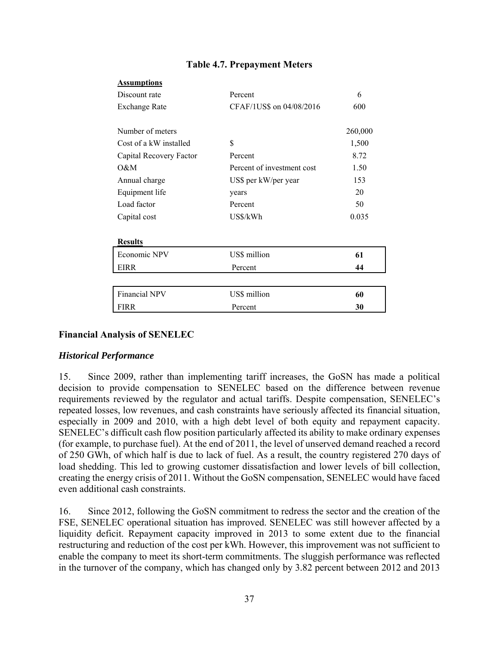| Assumptions             |                            |         |
|-------------------------|----------------------------|---------|
| Discount rate           | Percent                    | 6       |
| <b>Exchange Rate</b>    | CFAF/1US\$ on 04/08/2016   | 600     |
|                         |                            |         |
| Number of meters        |                            | 260,000 |
| Cost of a kW installed  | S                          | 1,500   |
| Capital Recovery Factor | Percent                    | 8.72    |
| O&M                     | Percent of investment cost | 1.50    |
| Annual charge           | US\$ per kW/per year       | 153     |
| Equipment life          | years                      | 20      |
| Load factor             | Percent                    | 50      |
| Capital cost            | US\$/kWh                   | 0.035   |
|                         |                            |         |
| <b>Results</b>          |                            |         |
| Economic NPV            | US\$ million               | 61      |
| <b>EIRR</b>             | Percent                    | 44      |
|                         |                            |         |
| Financial NPV           | US\$ million               | 60      |
| <b>FIRR</b>             | Percent                    | 30      |
|                         |                            |         |

## **Table 4.7. Prepayment Meters**

## **Financial Analysis of SENELEC**

**Assumptions** 

## *Historical Performance*

15. Since 2009, rather than implementing tariff increases, the GoSN has made a political decision to provide compensation to SENELEC based on the difference between revenue requirements reviewed by the regulator and actual tariffs. Despite compensation, SENELEC's repeated losses, low revenues, and cash constraints have seriously affected its financial situation, especially in 2009 and 2010, with a high debt level of both equity and repayment capacity. SENELEC's difficult cash flow position particularly affected its ability to make ordinary expenses (for example, to purchase fuel). At the end of 2011, the level of unserved demand reached a record of 250 GWh, of which half is due to lack of fuel. As a result, the country registered 270 days of load shedding. This led to growing customer dissatisfaction and lower levels of bill collection, creating the energy crisis of 2011. Without the GoSN compensation, SENELEC would have faced even additional cash constraints.

16. Since 2012, following the GoSN commitment to redress the sector and the creation of the FSE, SENELEC operational situation has improved. SENELEC was still however affected by a liquidity deficit. Repayment capacity improved in 2013 to some extent due to the financial restructuring and reduction of the cost per kWh. However, this improvement was not sufficient to enable the company to meet its short-term commitments. The sluggish performance was reflected in the turnover of the company, which has changed only by 3.82 percent between 2012 and 2013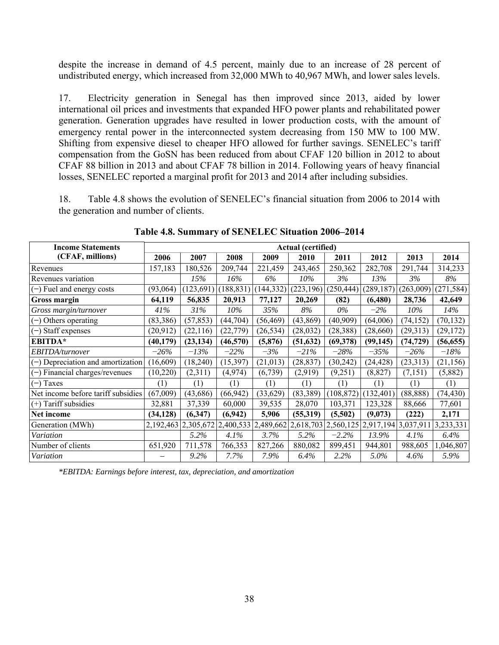despite the increase in demand of 4.5 percent, mainly due to an increase of 28 percent of undistributed energy, which increased from 32,000 MWh to 40,967 MWh, and lower sales levels.

17. Electricity generation in Senegal has then improved since 2013, aided by lower international oil prices and investments that expanded HFO power plants and rehabilitated power generation. Generation upgrades have resulted in lower production costs, with the amount of emergency rental power in the interconnected system decreasing from 150 MW to 100 MW. Shifting from expensive diesel to cheaper HFO allowed for further savings. SENELEC's tariff compensation from the GoSN has been reduced from about CFAF 120 billion in 2012 to about CFAF 88 billion in 2013 and about CFAF 78 billion in 2014. Following years of heavy financial losses, SENELEC reported a marginal profit for 2013 and 2014 after including subsidies.

18. Table 4.8 shows the evolution of SENELEC's financial situation from 2006 to 2014 with the generation and number of clients.

| <b>Income Statements</b>            |           | <b>Actual (certified)</b> |            |           |            |            |                                                                                                             |           |            |  |  |  |
|-------------------------------------|-----------|---------------------------|------------|-----------|------------|------------|-------------------------------------------------------------------------------------------------------------|-----------|------------|--|--|--|
| (CFAF, millions)                    | 2006      | 2007                      | 2008       | 2009      | 2010       | 2011       | 2012                                                                                                        | 2013      | 2014       |  |  |  |
| Revenues                            | 157,183   | 180,526                   | 209,744    | 221,459   | 243,465    | 250,362    | 282,708                                                                                                     | 291,744   | 314,233    |  |  |  |
| Revenues variation                  |           | 15%                       | 16%        | 6%        | $10\%$     | 3%         | 13%                                                                                                         | 3%        | 8%         |  |  |  |
| $(-)$ Fuel and energy costs         | (93,064)  | (123,691)                 | (188, 831) | 144,332)  | (223, 196) | (250, 444) | (289, 187)                                                                                                  | (263,009) | (271, 584) |  |  |  |
| Gross margin                        | 64,119    | 56,835                    | 20,913     | 77,127    | 20,269     | (82)       | (6, 480)                                                                                                    | 28,736    | 42,649     |  |  |  |
| Gross margin/turnover               | 41%       | 31%                       | 10%        | 35%       | 8%         | $0\%$      | $-2\%$                                                                                                      | 10%       | 14%        |  |  |  |
| Others operating<br>$(-)$           | (83,386)  | (57, 853)                 | (44, 704)  | (56, 469) | (43, 869)  | (40,909)   | (64,006)                                                                                                    | (74, 152) | (70, 132)  |  |  |  |
| Staff expenses<br>$(-)$             | (20,912)  | (22, 116)                 | (22, 779)  | (26, 534) | (28,032)   | (28, 388)  | (28,660)                                                                                                    | (29,313)  | (29, 172)  |  |  |  |
| <b>EBITDA*</b>                      | (40, 179) | (23, 134)                 | (46, 570)  | (5,876)   | (51, 632)  | (69, 378)  | (99, 145)                                                                                                   | (74, 729) | (56, 655)  |  |  |  |
| EBITDA/turnover                     | $-26\%$   | $-13%$                    | $-22%$     | $-3%$     | $-21%$     | $-28%$     | $-35%$                                                                                                      | $-26%$    | $-18%$     |  |  |  |
| $(-)$ Depreciation and amortization | (16,609)  | (18, 240)                 | (15,397)   | (21, 013) | (28, 837)  | (30, 242)  | (24, 428)                                                                                                   | (23,313)  | (21, 156)  |  |  |  |
| (-) Financial charges/revenues      | (10,220)  | (2,311)                   | (4,974)    | (6,739)   | (2,919)    | (9,251)    | (8, 827)                                                                                                    | (7,151)   | (5,882)    |  |  |  |
| $(-)$ Taxes                         | (1)       | (1)                       | (1)        | (1)       | (1)        | (1)        | (1)                                                                                                         | (1)       | (1)        |  |  |  |
| Net income before tariff subsidies  | (67,009)  | (43, 686)                 | (66, 942)  | (33,629)  | (83,389)   | (108, 872) | (132, 401)                                                                                                  | (88, 888) | (74, 430)  |  |  |  |
| $(+)$ Tariff subsidies              | 32,881    | 37,339                    | 60,000     | 39,535    | 28,070     | 103,371    | 123,328                                                                                                     | 88,666    | 77,601     |  |  |  |
| Net income                          | (34, 128) | (6,347)                   | (6,942)    | 5,906     | (55,319)   | (5,502)    | (9,073)                                                                                                     | (222)     | 2,171      |  |  |  |
| Generation (MWh)                    |           |                           |            |           |            |            | 2, 192, 463 2, 305, 672 2, 400, 533 2, 489, 662 2, 618, 703 2, 560, 125 2, 917, 194 3, 037, 911 3, 233, 331 |           |            |  |  |  |
| Variation                           |           | 5.2%                      | 4.1%       | 3.7%      | 5.2%       | $-2.2\%$   | 13.9%                                                                                                       | 4.1%      | $6.4\%$    |  |  |  |
| Number of clients                   | 651,920   | 711,578                   | 766,353    | 827,266   | 880,082    | 899,451    | 944,801                                                                                                     | 988,605   | 1,046,807  |  |  |  |
| Variation                           |           | 9.2%                      | 7.7%       | 7.9%      | 6.4%       | 2.2%       | 5.0%                                                                                                        | $4.6\%$   | 5.9%       |  |  |  |

**Table 4.8. Summary of SENELEC Situation 2006–2014** 

*\*EBITDA: Earnings before interest, tax, depreciation, and amortization*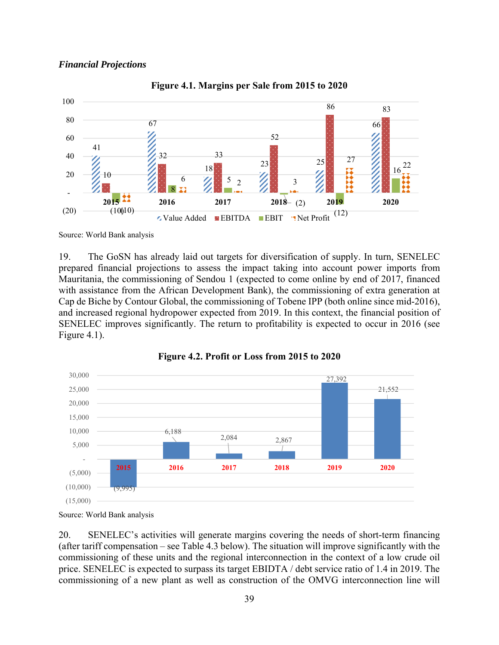#### *Financial Projections*



#### **Figure 4.1. Margins per Sale from 2015 to 2020**

Source: World Bank analysis

19. The GoSN has already laid out targets for diversification of supply. In turn, SENELEC prepared financial projections to assess the impact taking into account power imports from Mauritania, the commissioning of Sendou 1 (expected to come online by end of 2017, financed with assistance from the African Development Bank), the commissioning of extra generation at Cap de Biche by Contour Global, the commissioning of Tobene IPP (both online since mid-2016), and increased regional hydropower expected from 2019. In this context, the financial position of SENELEC improves significantly. The return to profitability is expected to occur in 2016 (see Figure 4.1).





20. SENELEC's activities will generate margins covering the needs of short-term financing (after tariff compensation – see Table 4.3 below). The situation will improve significantly with the commissioning of these units and the regional interconnection in the context of a low crude oil price. SENELEC is expected to surpass its target EBIDTA / debt service ratio of 1.4 in 2019. The commissioning of a new plant as well as construction of the OMVG interconnection line will

Source: World Bank analysis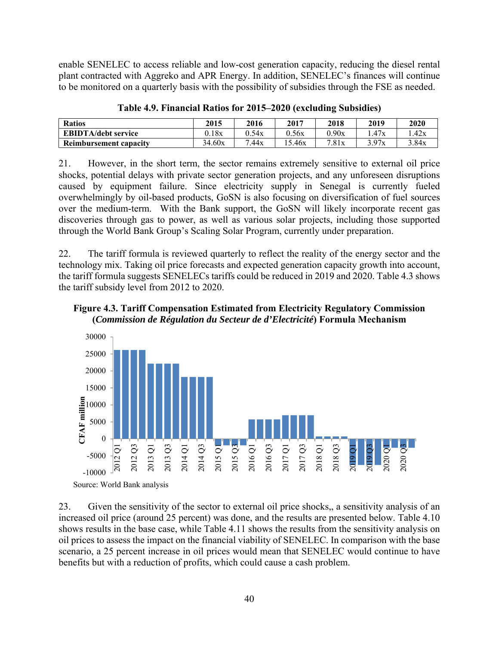enable SENELEC to access reliable and low-cost generation capacity, reducing the diesel rental plant contracted with Aggreko and APR Energy. In addition, SENELEC's finances will continue to be monitored on a quarterly basis with the possibility of subsidies through the FSE as needed.

| <b>Ratios</b>              | 2015   | 2016  | 2017   | 2018  | 2019  | 2020  |
|----------------------------|--------|-------|--------|-------|-------|-------|
| <b>EBIDTA/debt service</b> | 0.18x  | 0.54x | 0.56x  | 0.90x | 47x   | .42x  |
| Reimbursement capacity     | 34.60x | 7.44x | .5.46x | 7.81x | 3.97x | 3.84x |

**Table 4.9. Financial Ratios for 2015–2020 (excluding Subsidies)** 

21. However, in the short term, the sector remains extremely sensitive to external oil price shocks, potential delays with private sector generation projects, and any unforeseen disruptions caused by equipment failure. Since electricity supply in Senegal is currently fueled overwhelmingly by oil-based products, GoSN is also focusing on diversification of fuel sources over the medium-term. With the Bank support, the GoSN will likely incorporate recent gas discoveries through gas to power, as well as various solar projects, including those supported through the World Bank Group's Scaling Solar Program, currently under preparation.

22. The tariff formula is reviewed quarterly to reflect the reality of the energy sector and the technology mix. Taking oil price forecasts and expected generation capacity growth into account, the tariff formula suggests SENELECs tariffs could be reduced in 2019 and 2020. Table 4.3 shows the tariff subsidy level from 2012 to 2020.





23. Given the sensitivity of the sector to external oil price shocks,, a sensitivity analysis of an increased oil price (around 25 percent) was done, and the results are presented below. Table 4.10 shows results in the base case, while Table 4.11 shows the results from the sensitivity analysis on oil prices to assess the impact on the financial viability of SENELEC. In comparison with the base scenario, a 25 percent increase in oil prices would mean that SENELEC would continue to have benefits but with a reduction of profits, which could cause a cash problem.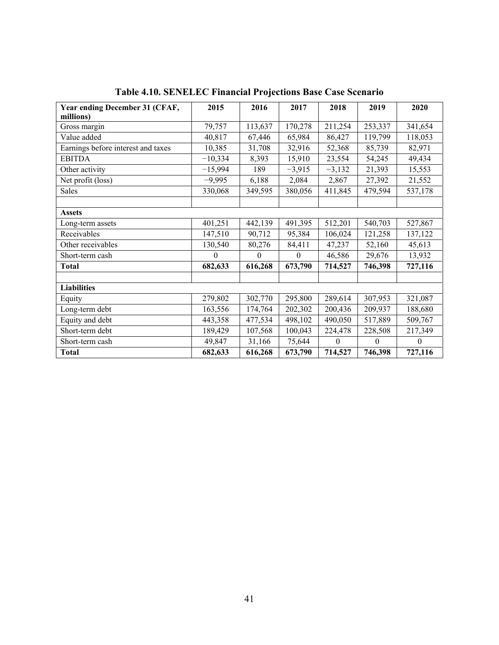| Year ending December 31 (CFAF,     | 2015      | 2016     | 2017     | 2018     | 2019     | 2020             |
|------------------------------------|-----------|----------|----------|----------|----------|------------------|
| millions)                          |           |          |          |          |          |                  |
| Gross margin                       | 79,757    | 113,637  | 170,278  | 211,254  | 253,337  | 341,654          |
| Value added                        | 40,817    | 67,446   | 65,984   | 86,427   | 119,799  | 118,053          |
| Earnings before interest and taxes | 10,385    | 31,708   | 32,916   | 52,368   | 85,739   | 82,971           |
| <b>EBITDA</b>                      | $-10,334$ | 8,393    | 15,910   | 23,554   | 54,245   | 49,434           |
| Other activity                     | $-15,994$ | 189      | $-3,915$ | $-3,132$ | 21,393   | 15,553           |
| Net profit (loss)                  | $-9,995$  | 6,188    | 2,084    | 2,867    | 27,392   | 21,552           |
| <b>Sales</b>                       | 330,068   | 349,595  | 380,056  | 411,845  | 479,594  | 537,178          |
|                                    |           |          |          |          |          |                  |
| <b>Assets</b>                      |           |          |          |          |          |                  |
| Long-term assets                   | 401,251   | 442,139  | 491,395  | 512,201  | 540,703  | 527,867          |
| Receivables                        | 147,510   | 90,712   | 95,384   | 106,024  | 121,258  | 137,122          |
| Other receivables                  | 130,540   | 80,276   | 84,411   | 47,237   | 52,160   | 45,613           |
| Short-term cash                    | $\theta$  | $\theta$ | $\theta$ | 46,586   | 29,676   | 13,932           |
| <b>Total</b>                       | 682,633   | 616,268  | 673,790  | 714,527  | 746,398  | 727,116          |
|                                    |           |          |          |          |          |                  |
| <b>Liabilities</b>                 |           |          |          |          |          |                  |
| Equity                             | 279,802   | 302,770  | 295,800  | 289,614  | 307,953  | 321,087          |
| Long-term debt                     | 163,556   | 174,764  | 202,302  | 200,436  | 209,937  | 188,680          |
| Equity and debt                    | 443,358   | 477,534  | 498,102  | 490,050  | 517,889  | 509,767          |
| Short-term debt                    | 189,429   | 107,568  | 100,043  | 224,478  | 228,508  | 217,349          |
| Short-term cash                    | 49,847    | 31,166   | 75,644   | $\theta$ | $\theta$ | $\boldsymbol{0}$ |
| <b>Total</b>                       | 682,633   | 616,268  | 673,790  | 714,527  | 746,398  | 727,116          |

**Table 4.10. SENELEC Financial Projections Base Case Scenario**